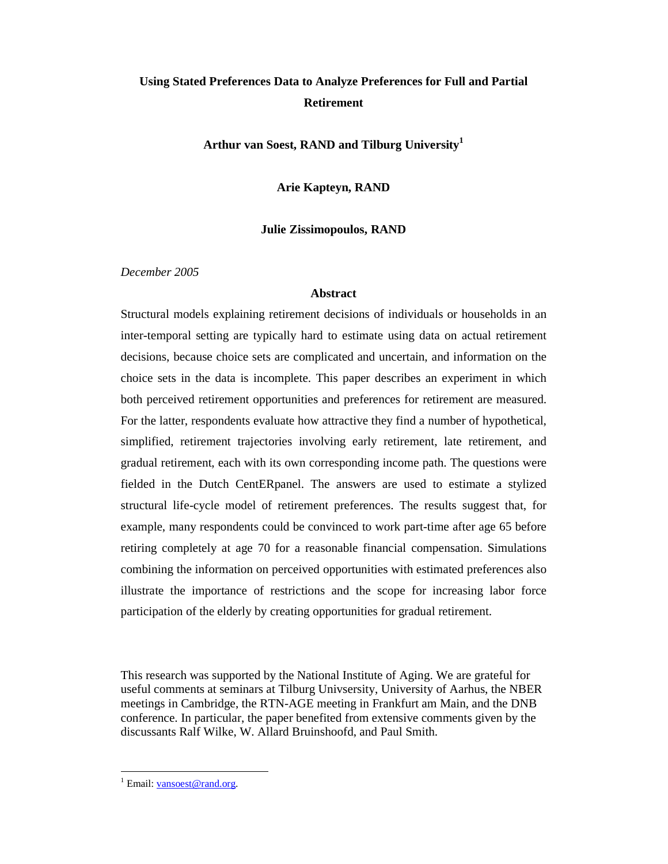# **Using Stated Preferences Data to Analyze Preferences for Full and Partial Retirement**

**Arthur van Soest, RAND and Tilburg University 1**

**Arie Kapteyn, RAND**

# **Julie Zissimopoulos, RAND**

*December 2005*

## **Abstract**

Structural models explaining retirement decisions of individuals or households in an inter-temporal setting are typically hard to estimate using data on actual retirement decisions, because choice sets are complicated and uncertain, and information on the choice sets in the data is incomplete. This paper describes an experiment in which both perceived retirement opportunities and preferences for retirement are measured. For the latter, respondents evaluate how attractive they find a number of hypothetical, simplified, retirement trajectories involving early retirement, late retirement, and gradual retirement, each with its own corresponding income path. The questions were fielded in the Dutch CentERpanel. The answers are used to estimate a stylized structural life-cycle model of retirement preferences. The results suggest that, for example, many respondents could be convinced to work part-time after age 65 before retiring completely at age 70 for a reasonable financial compensation. Simulations combining the information on perceived opportunities with estimated preferences also illustrate the importance of restrictions and the scope for increasing labor force participation of the elderly by creating opportunities for gradual retirement.

This research was supported by the National Institute of Aging. We are grateful for useful comments at seminars at Tilburg Univsersity, University of Aarhus, the NBER meetings in Cambridge, the RTN-AGE meeting in Frankfurt am Main, and the DNB conference. In particular, the paper benefited from extensive comments given by the discussants Ralf Wilke, W. Allard Bruinshoofd, and Paul Smith.

 $\ddot{\phantom{a}}$ 

<sup>&</sup>lt;sup>1</sup> Email: vansoest@rand.org.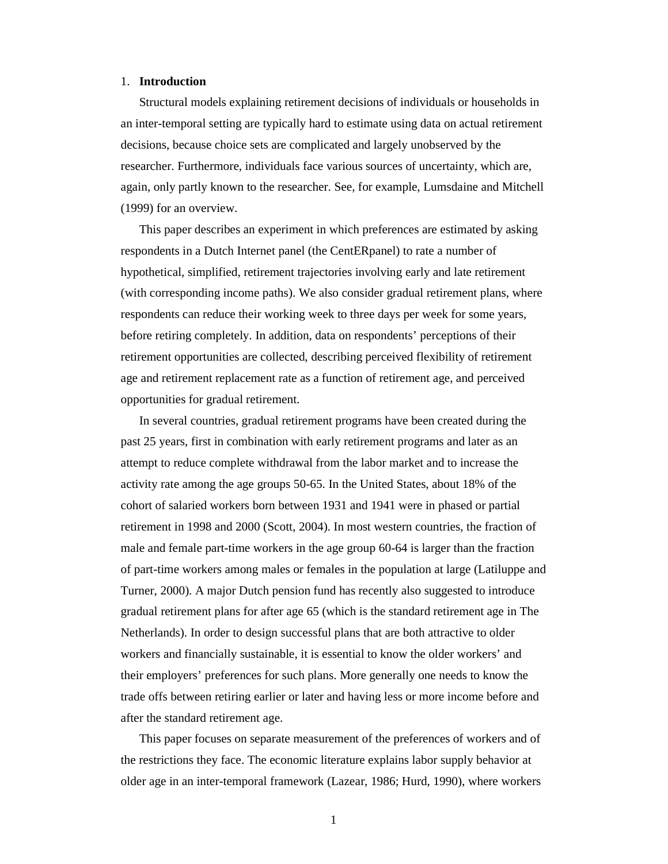#### 1. **Introduction**

Structural models explaining retirement decisions of individuals or households in an inter-temporal setting are typically hard to estimate using data on actual retirement decisions, because choice sets are complicated and largely unobserved by the researcher. Furthermore, individuals face various sources of uncertainty, which are, again, only partly known to the researcher. See, for example, Lumsdaine and Mitchell (1999) for an overview.

This paper describes an experiment in which preferences are estimated by asking respondents in a Dutch Internet panel (the CentERpanel) to rate a number of hypothetical, simplified, retirement trajectories involving early and late retirement (with corresponding income paths). We also consider gradual retirement plans, where respondents can reduce their working week to three days per week for some years, before retiring completely. In addition, data on respondents' perceptions of their retirement opportunities are collected, describing perceived flexibility of retirement age and retirement replacement rate as a function of retirement age, and perceived opportunities for gradual retirement.

In several countries, gradual retirement programs have been created during the past 25 years, first in combination with early retirement programs and later as an attempt to reduce complete withdrawal from the labor market and to increase the activity rate among the age groups 50-65. In the United States, about 18% of the cohort of salaried workers born between 1931 and 1941 were in phased or partial retirement in 1998 and 2000 (Scott, 2004). In most western countries, the fraction of male and female part-time workers in the age group 60-64 is larger than the fraction of part-time workers among males or females in the population at large (Latiluppe and Turner, 2000). A major Dutch pension fund has recently also suggested to introduce gradual retirement plans for after age 65 (which is the standard retirement age in The Netherlands). In order to design successful plans that are both attractive to older workers and financially sustainable, it is essential to know the older workers' and their employers' preferences for such plans. More generally one needs to know the trade offs between retiring earlier or later and having less or more income before and after the standard retirement age.

This paper focuses on separate measurement of the preferences of workers and of the restrictions they face. The economic literature explains labor supply behavior at older age in an inter-temporal framework (Lazear, 1986; Hurd, 1990), where workers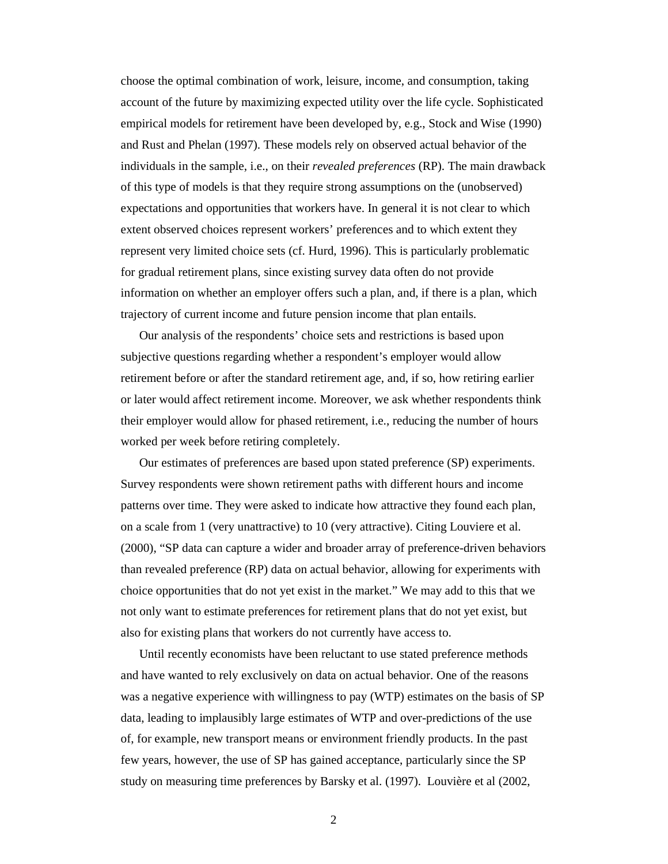choose the optimal combination of work, leisure, income, and consumption, taking account of the future by maximizing expected utility over the life cycle. Sophisticated empirical models for retirement have been developed by, e.g., Stock and Wise (1990) and Rust and Phelan (1997). These models rely on observed actual behavior of the individuals in the sample, i.e., on their *revealed preferences* (RP). The main drawback of this type of models is that they require strong assumptions on the (unobserved) expectations and opportunities that workers have. In general it is not clear to which extent observed choices represent workers' preferences and to which extent they represent very limited choice sets (cf. Hurd, 1996). This is particularly problematic for gradual retirement plans, since existing survey data often do not provide information on whether an employer offers such a plan, and, if there is a plan, which trajectory of current income and future pension income that plan entails.

Our analysis of the respondents' choice sets and restrictions is based upon subjective questions regarding whether a respondent's employer would allow retirement before or after the standard retirement age, and, if so, how retiring earlier or later would affect retirement income. Moreover, we ask whether respondents think their employer would allow for phased retirement, i.e., reducing the number of hours worked per week before retiring completely.

Our estimates of preferences are based upon stated preference (SP) experiments. Survey respondents were shown retirement paths with different hours and income patterns over time. They were asked to indicate how attractive they found each plan, on a scale from 1 (very unattractive) to 10 (very attractive). Citing Louviere et al. (2000), "SP data can capture a wider and broader array of preference-driven behaviors than revealed preference (RP) data on actual behavior, allowing for experiments with choice opportunities that do not yet exist in the market." We may add to this that we not only want to estimate preferences for retirement plans that do not yet exist, but also for existing plans that workers do not currently have access to.

Until recently economists have been reluctant to use stated preference methods and have wanted to rely exclusively on data on actual behavior. One of the reasons was a negative experience with willingness to pay (WTP) estimates on the basis of SP data, leading to implausibly large estimates of WTP and over-predictions of the use of, for example, new transport means or environment friendly products. In the past few years, however, the use of SP has gained acceptance, particularly since the SP study on measuring time preferences by Barsky et al. (1997). Louvière et al (2002,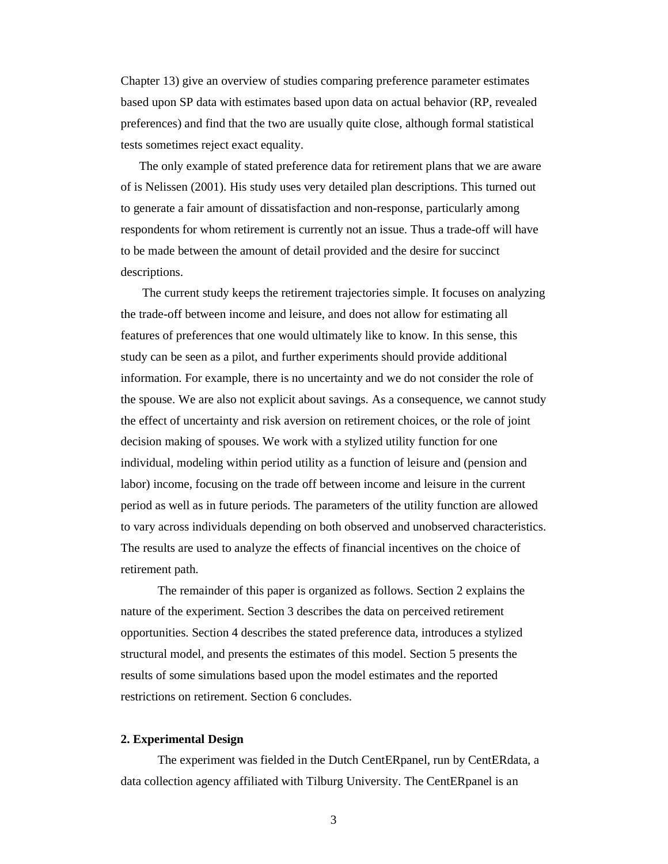Chapter 13) give an overview of studies comparing preference parameter estimates based upon SP data with estimates based upon data on actual behavior (RP, revealed preferences) and find that the two are usually quite close, although formal statistical tests sometimes reject exact equality.

The only example of stated preference data for retirement plans that we are aware of is Nelissen (2001). His study uses very detailed plan descriptions. This turned out to generate a fair amount of dissatisfaction and non-response, particularly among respondents for whom retirement is currently not an issue. Thus a trade-off will have to be made between the amount of detail provided and the desire for succinct descriptions.

The current study keeps the retirement trajectories simple. It focuses on analyzing the trade-off between income and leisure, and does not allow for estimating all features of preferences that one would ultimately like to know. In this sense, this study can be seen as a pilot, and further experiments should provide additional information. For example, there is no uncertainty and we do not consider the role of the spouse. We are also not explicit about savings. As a consequence, we cannot study the effect of uncertainty and risk aversion on retirement choices, or the role of joint decision making of spouses. We work with a stylized utility function for one individual, modeling within period utility as a function of leisure and (pension and labor) income, focusing on the trade off between income and leisure in the current period as well as in future periods. The parameters of the utility function are allowed to vary across individuals depending on both observed and unobserved characteristics. The results are used to analyze the effects of financial incentives on the choice of retirement path.

The remainder of this paper is organized as follows. Section 2 explains the nature of the experiment. Section 3 describes the data on perceived retirement opportunities. Section 4 describes the stated preference data, introduces a stylized structural model, and presents the estimates of this model. Section 5 presents the results of some simulations based upon the model estimates and the reported restrictions on retirement. Section 6 concludes.

### **2. Experimental Design**

The experiment was fielded in the Dutch CentERpanel, run by CentERdata, a data collection agency affiliated with Tilburg University. The CentERpanel is an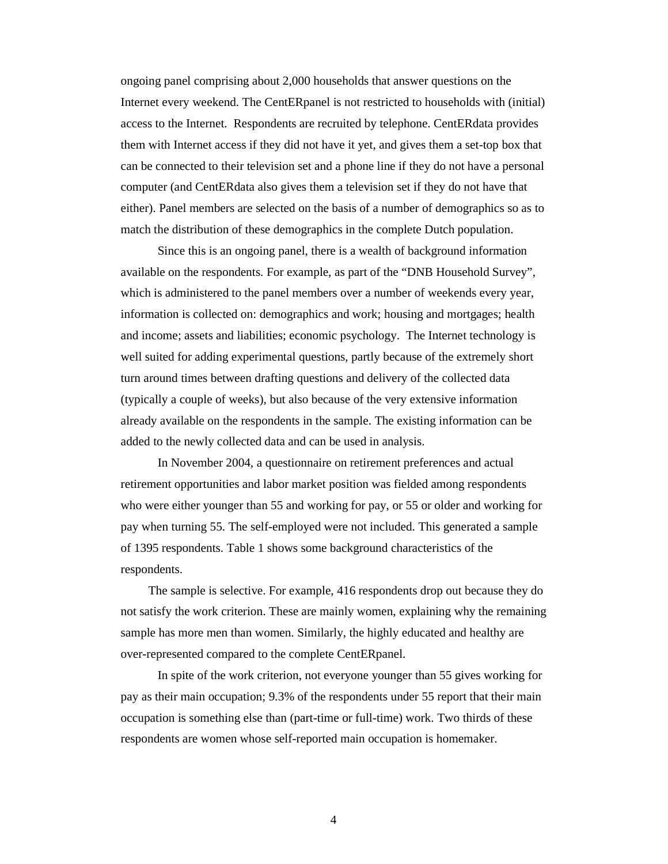ongoing panel comprising about 2,000 households that answer questions on the Internet every weekend. The CentERpanel is not restricted to households with (initial) access to the Internet. Respondents are recruited by telephone. CentERdata provides them with Internet access if they did not have it yet, and gives them a set-top box that can be connected to their television set and a phone line if they do not have a personal computer (and CentERdata also gives them a television set if they do not have that either). Panel members are selected on the basis of a number of demographics so as to match the distribution of these demographics in the complete Dutch population.

Since this is an ongoing panel, there is a wealth of background information available on the respondents. For example, as part of the "DNB Household Survey", which is administered to the panel members over a number of weekends every year, information is collected on: demographics and work; housing and mortgages; health and income; assets and liabilities; economic psychology. The Internet technology is well suited for adding experimental questions, partly because of the extremely short turn around times between drafting questions and delivery of the collected data (typically a couple of weeks), but also because of the very extensive information already available on the respondents in the sample. The existing information can be added to the newly collected data and can be used in analysis.

In November 2004, a questionnaire on retirement preferences and actual retirement opportunities and labor market position was fielded among respondents who were either younger than 55 and working for pay, or 55 or older and working for pay when turning 55. The self-employed were not included. This generated a sample of 1395 respondents. Table 1 shows some background characteristics of the respondents.

The sample is selective. For example, 416 respondents drop out because they do not satisfy the work criterion. These are mainly women, explaining why the remaining sample has more men than women. Similarly, the highly educated and healthy are over-represented compared to the complete CentERpanel.

In spite of the work criterion, not everyone younger than 55 gives working for pay as their main occupation; 9.3% of the respondents under 55 report that their main occupation is something else than (part-time or full-time) work. Two thirds of these respondents are women whose self-reported main occupation is homemaker.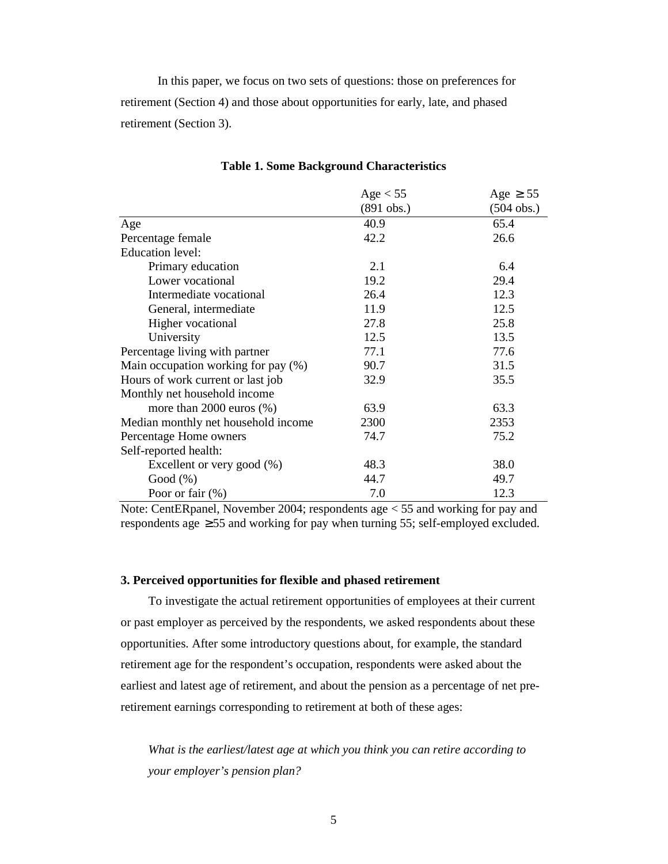In this paper, we focus on two sets of questions: those on preferences for retirement (Section 4) and those about opportunities for early, late, and phased retirement (Section 3).

|                                     | Age $< 55$   | Age $\geq$ 55 |
|-------------------------------------|--------------|---------------|
|                                     | $(891$ obs.) | $(504$ obs.)  |
| Age                                 | 40.9         | 65.4          |
| Percentage female                   | 42.2         | 26.6          |
| <b>Education</b> level:             |              |               |
| Primary education                   | 2.1          | 6.4           |
| Lower vocational                    | 19.2         | 29.4          |
| Intermediate vocational             | 26.4         | 12.3          |
| General, intermediate               | 11.9         | 12.5          |
| Higher vocational                   | 27.8         | 25.8          |
| University                          | 12.5         | 13.5          |
| Percentage living with partner      | 77.1         | 77.6          |
| Main occupation working for pay (%) | 90.7         | 31.5          |
| Hours of work current or last job   | 32.9         | 35.5          |
| Monthly net household income        |              |               |
| more than $2000$ euros $(\%)$       | 63.9         | 63.3          |
| Median monthly net household income | 2300         | 2353          |
| Percentage Home owners              | 74.7         | 75.2          |
| Self-reported health:               |              |               |
| Excellent or very good $(\%)$       | 48.3         | 38.0          |
| Good $(\%)$                         | 44.7         | 49.7          |
| Poor or fair $(\%)$                 | 7.0          | 12.3          |

#### **Table 1. Some Background Characteristics**

Note: CentERpanel, November 2004; respondents age < 55 and working for pay and respondents age  $\geq$  55 and working for pay when turning 55; self-employed excluded.

## **3. Perceived opportunities for flexible and phased retirement**

To investigate the actual retirement opportunities of employees at their current or past employer as perceived by the respondents, we asked respondents about these opportunities. After some introductory questions about, for example, the standard retirement age for the respondent's occupation, respondents were asked about the earliest and latest age of retirement, and about the pension as a percentage of net preretirement earnings corresponding to retirement at both of these ages:

*What is the earliest/latest age at which you think you can retire according to your employer's pension plan?*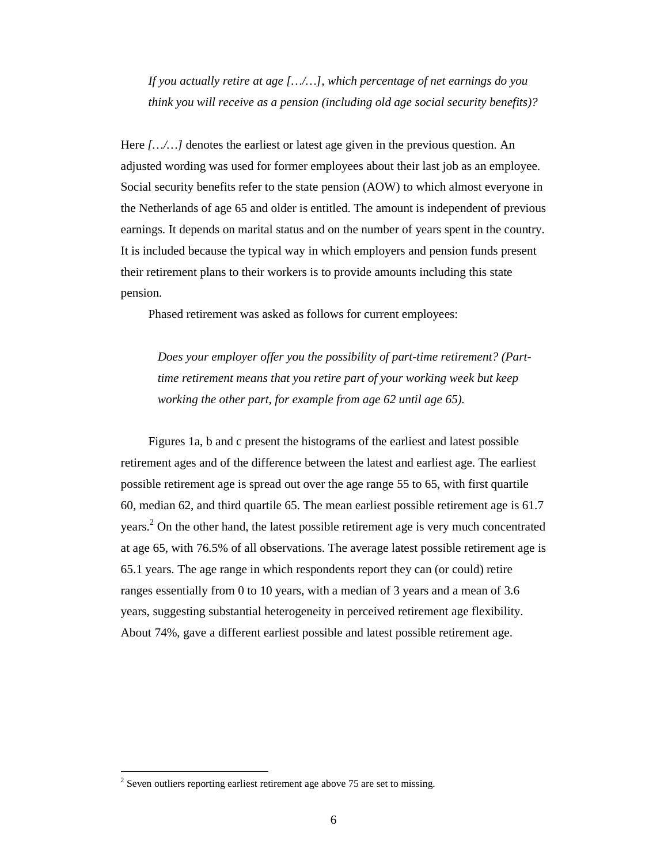*If you actually retire at age […/…], which percentage of net earnings do you think you will receive as a pension (including old age social security benefits)?*

Here [.../...] denotes the earliest or latest age given in the previous question. An adjusted wording was used for former employees about their last job as an employee. Social security benefits refer to the state pension (AOW) to which almost everyone in the Netherlands of age 65 and older is entitled. The amount is independent of previous earnings. It depends on marital status and on the number of years spent in the country. It is included because the typical way in which employers and pension funds present their retirement plans to their workers is to provide amounts including this state pension.

Phased retirement was asked as follows for current employees:

*Does your employer offer you the possibility of part-time retirement? (Parttime retirement means that you retire part of your working week but keep working the other part, for example from age 62 until age 65).*

Figures 1a, b and c present the histograms of the earliest and latest possible retirement ages and of the difference between the latest and earliest age. The earliest possible retirement age is spread out over the age range 55 to 65, with first quartile 60, median 62, and third quartile 65. The mean earliest possible retirement age is 61.7 years.<sup>2</sup> On the other hand, the latest possible retirement age is very much concentrated at age 65, with 76.5% of all observations. The average latest possible retirement age is 65.1 years. The age range in which respondents report they can (or could) retire ranges essentially from 0 to 10 years, with a median of 3 years and a mean of 3.6 years, suggesting substantial heterogeneity in perceived retirement age flexibility. About 74%, gave a different earliest possible and latest possible retirement age.

 $\ddot{\phantom{a}}$ 

 $2^2$  Seven outliers reporting earliest retirement age above 75 are set to missing.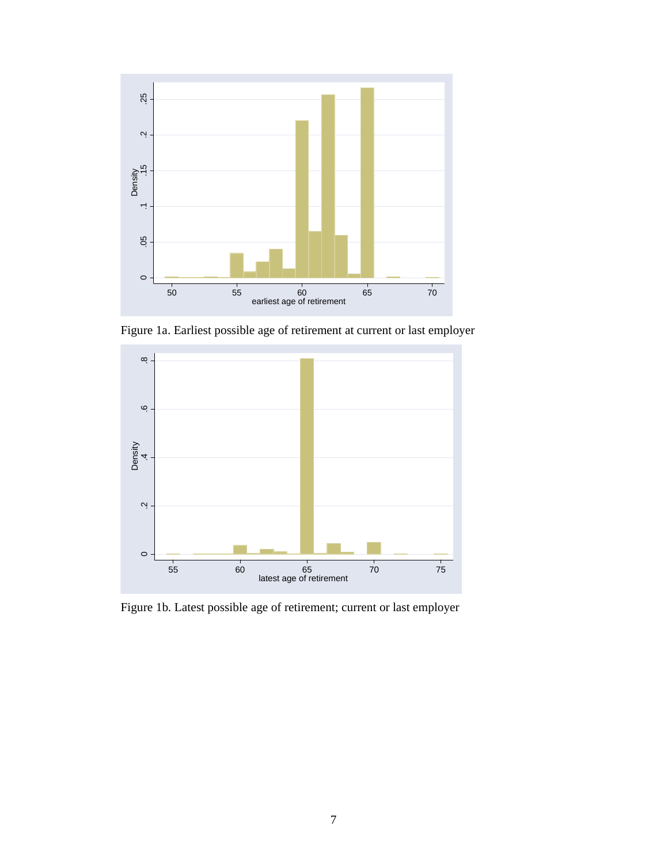

Figure 1a. Earliest possible age of retirement at current or last employer



Figure 1b. Latest possible age of retirement; current or last employer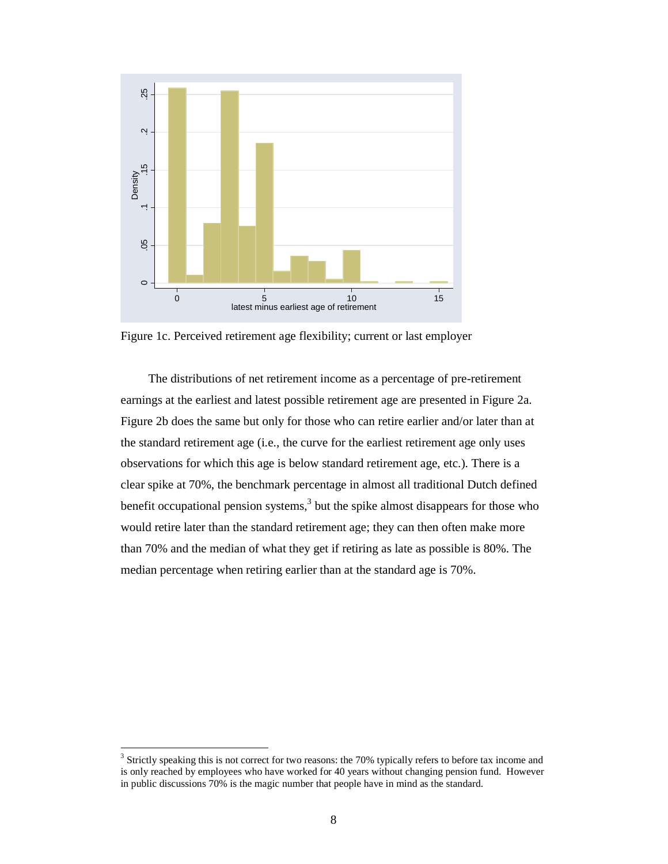

Figure 1c. Perceived retirement age flexibility; current or last employer

The distributions of net retirement income as a percentage of pre-retirement earnings at the earliest and latest possible retirement age are presented in Figure 2a. Figure 2b does the same but only for those who can retire earlier and/or later than at the standard retirement age (i.e., the curve for the earliest retirement age only uses observations for which this age is below standard retirement age, etc.). There is a clear spike at 70%, the benchmark percentage in almost all traditional Dutch defined benefit occupational pension systems,<sup>3</sup> but the spike almost disappears for those who would retire later than the standard retirement age; they can then often make more than 70% and the median of what they get if retiring as late as possible is 80%. The median percentage when retiring earlier than at the standard age is 70%.

 $\ddot{\phantom{a}}$ 

 $3$  Strictly speaking this is not correct for two reasons: the 70% typically refers to before tax income and is only reached by employees who have worked for 40 years without changing pension fund. However in public discussions 70% is the magic number that people have in mind as the standard.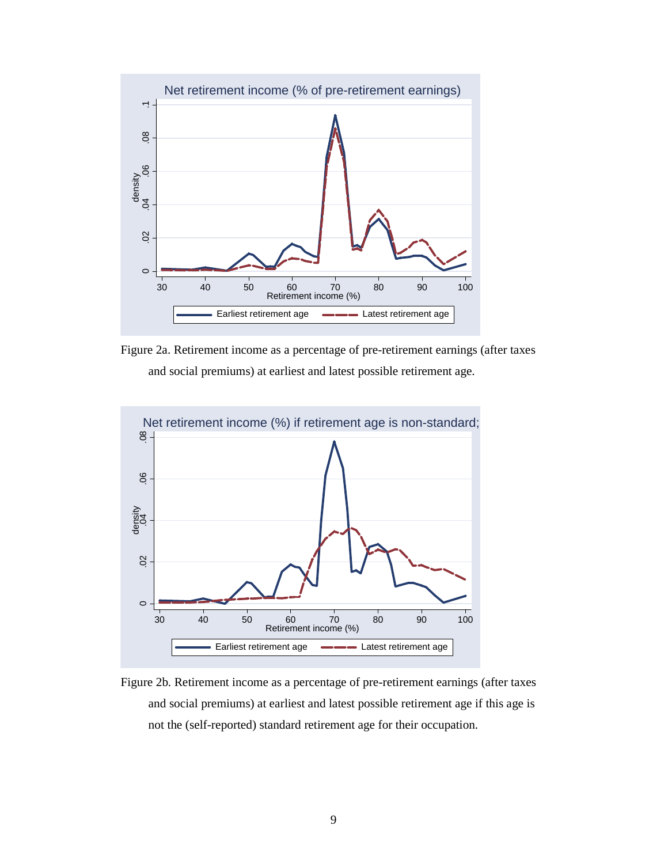

Figure 2a. Retirement income as a percentage of pre-retirement earnings (after taxes and social premiums) at earliest and latest possible retirement age.



Figure 2b. Retirement income as a percentage of pre-retirement earnings (after taxes and social premiums) at earliest and latest possible retirement age if this age is not the (self-reported) standard retirement age for their occupation.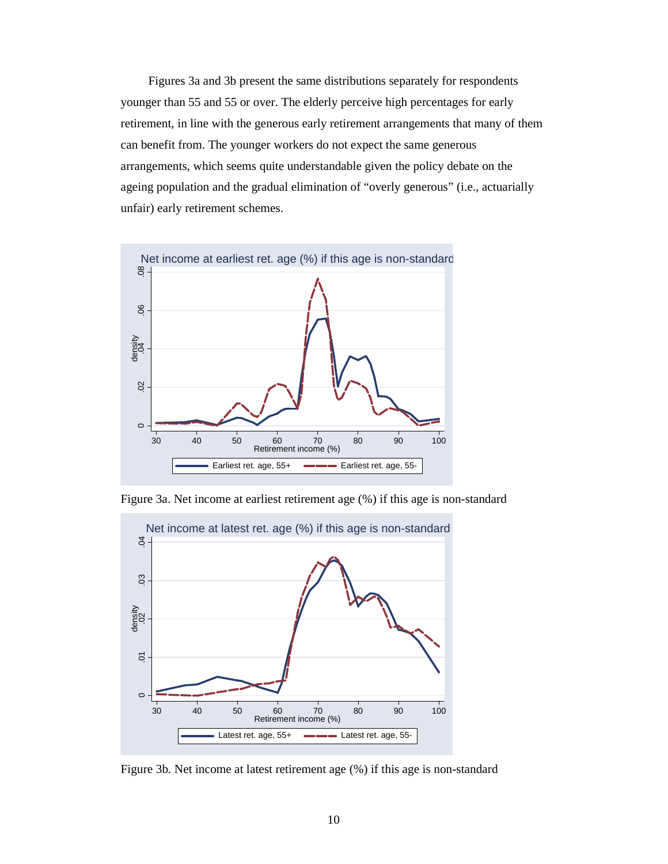Figures 3a and 3b present the same distributions separately for respondents younger than 55 and 55 or over. The elderly perceive high percentages for early retirement, in line with the generous early retirement arrangements that many of them can benefit from. The younger workers do not expect the same generous arrangements, which seems quite understandable given the policy debate on the ageing population and the gradual elimination of "overly generous" (i.e., actuarially unfair) early retirement schemes.



Figure 3a. Net income at earliest retirement age (%) if this age is non-standard



Figure 3b. Net income at latest retirement age (%) if this age is non-standard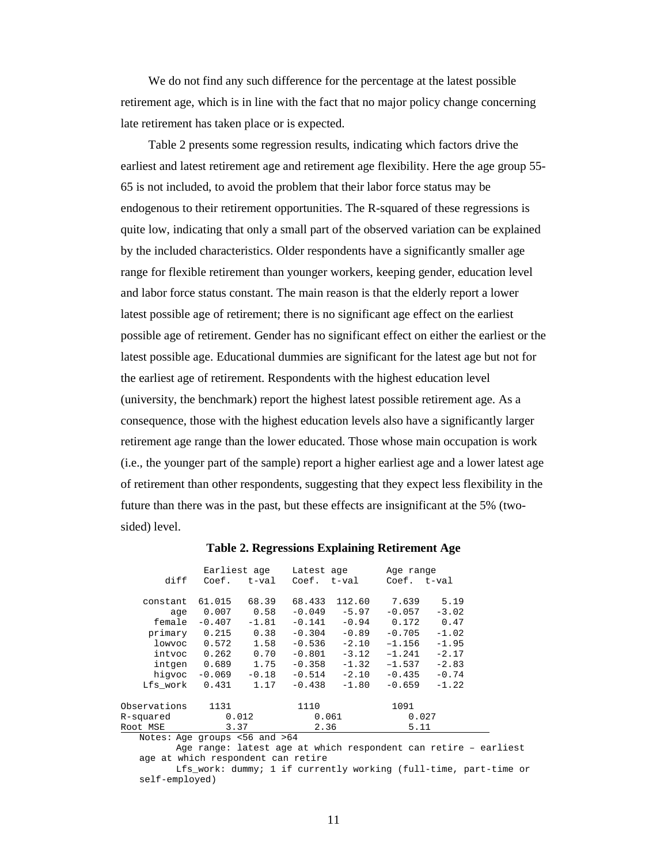We do not find any such difference for the percentage at the latest possible retirement age, which is in line with the fact that no major policy change concerning late retirement has taken place or is expected.

Table 2 presents some regression results, indicating which factors drive the earliest and latest retirement age and retirement age flexibility. Here the age group 55- 65 is not included, to avoid the problem that their labor force status may be endogenous to their retirement opportunities. The R-squared of these regressions is quite low, indicating that only a small part of the observed variation can be explained by the included characteristics. Older respondents have a significantly smaller age range for flexible retirement than younger workers, keeping gender, education level and labor force status constant. The main reason is that the elderly report a lower latest possible age of retirement; there is no significant age effect on the earliest possible age of retirement. Gender has no significant effect on either the earliest or the latest possible age. Educational dummies are significant for the latest age but not for the earliest age of retirement. Respondents with the highest education level (university, the benchmark) report the highest latest possible retirement age. As a consequence, those with the highest education levels also have a significantly larger retirement age range than the lower educated. Those whose main occupation is work (i.e., the younger part of the sample) report a higher earliest age and a lower latest age of retirement than other respondents, suggesting that they expect less flexibility in the future than there was in the past, but these effects are insignificant at the 5% (twosided) level.

|                                                         | Earliest age |         | Latest age |         | Age range   |         |  |
|---------------------------------------------------------|--------------|---------|------------|---------|-------------|---------|--|
| diff                                                    | Coef.        | t-val   | Coef.      | t-val   | Coef. t-val |         |  |
|                                                         |              |         |            |         |             |         |  |
| constant                                                | 61.015       | 68.39   | 68.433     | 112.60  | 7.639       | 5.19    |  |
| age                                                     | 0.007        | 0.58    | $-0.049$   | $-5.97$ | $-0.057$    | $-3.02$ |  |
| female                                                  | $-0.407$     | $-1.81$ | $-0.141$   | $-0.94$ | 0.172       | 0.47    |  |
| primary                                                 | 0.215        | 0.38    | $-0.304$   | $-0.89$ | $-0.705$    | $-1.02$ |  |
| lowyoc                                                  | 0.572        | 1.58    | $-0.536$   | $-2.10$ | $-1.156$    | $-1.95$ |  |
| intvoc                                                  | 0.262        | 0.70    | $-0.801$   | $-3.12$ | $-1.241$    | $-2.17$ |  |
| intgen                                                  | 0.689        | 1.75    | $-0.358$   | $-1.32$ | $-1.537$    | $-2.83$ |  |
| hiqvoc                                                  | $-0.069$     | $-0.18$ | $-0.514$   | $-2.10$ | $-0.435$    | $-0.74$ |  |
| Lfs work                                                | 0.431        | 1.17    | $-0.438$   | $-1.80$ | $-0.659$    | $-1.22$ |  |
| Observations                                            | 1131         |         | 1110       |         | 1091        |         |  |
|                                                         |              |         |            |         |             |         |  |
| R-squared                                               |              | 0.012   | 0.061      |         | 0.027       |         |  |
| Root MSE                                                | 3.37         |         | 2.36       |         | 5.11        |         |  |
| $M$ otog: $\lambda$ go guaing $\sqrt{c}$ and $\sqrt{c}$ |              |         |            |         |             |         |  |

**Table 2. Regressions Explaining Retirement Age**

Notes: Age groups <56 and >64

Age range: latest age at which respondent can retire – earliest age at which respondent can retire Lfs\_work: dummy; 1 if currently working (full-time, part-time or

self-employed)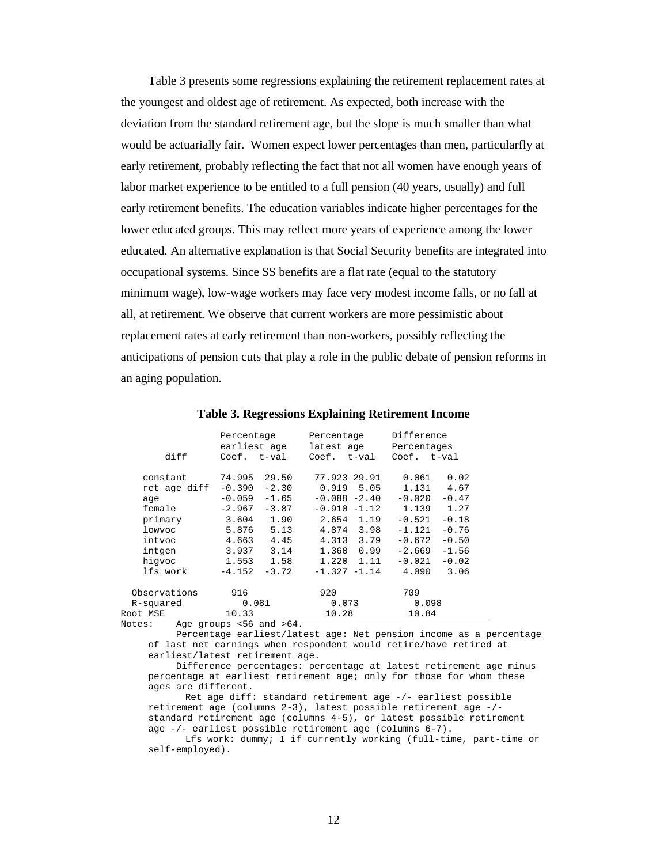Table 3 presents some regressions explaining the retirement replacement rates at the youngest and oldest age of retirement. As expected, both increase with the deviation from the standard retirement age, but the slope is much smaller than what would be actuarially fair. Women expect lower percentages than men, particularfly at early retirement, probably reflecting the fact that not all women have enough years of labor market experience to be entitled to a full pension (40 years, usually) and full early retirement benefits. The education variables indicate higher percentages for the lower educated groups. This may reflect more years of experience among the lower educated. An alternative explanation is that Social Security benefits are integrated into occupational systems. Since SS benefits are a flat rate (equal to the statutory minimum wage), low-wage workers may face very modest income falls, or no fall at all, at retirement. We observe that current workers are more pessimistic about replacement rates at early retirement than non-workers, possibly reflecting the anticipations of pension cuts that play a role in the public debate of pension reforms in an aging population.

|                     | Percentage<br>earliest age                 | Percentage<br>latest age        | Difference<br>Percentages            |  |
|---------------------|--------------------------------------------|---------------------------------|--------------------------------------|--|
| diff                | Coef. t-val                                | Coef. t-val                     | Coef. t-val                          |  |
| constant            | 74.995<br>29.50                            | 77.923 29.91                    | 0.061<br>0.02                        |  |
| ret age diff<br>age | $-0.390$<br>$-2.30$<br>$-0.059$<br>$-1.65$ | $0.919$ 5.05<br>$-0.088 - 2.40$ | 4.67<br>1.131<br>$-0.020$<br>$-0.47$ |  |
| female              | $-3.87$<br>$-2.967$                        | $-0.910 -1.12$                  | 1.139<br>1.27                        |  |
| primary             | 3.604                                      | 2.654 1.19<br>1.90              | $-0.18$<br>$-0.521$                  |  |
| lowyoc              | 5.876<br>5.13                              | 4.874 3.98                      | $-0.76$<br>$-1.121$                  |  |
| intvoc              | 4.663                                      | 4.45<br>4.313 3.79              | $-0.672$<br>$-0.50$                  |  |
| intgen              | 3.937                                      | 3.14<br>1.360 0.99              | $-2.669$<br>$-1.56$                  |  |
| hiqvoc              | 1.553                                      | 1.58<br>1.220                   | 1.11<br>-0.021<br>$-0.02$            |  |
| lfs work            | $-4.152$<br>$-3.72$                        | $-1.327 -1.14$                  | 4.090<br>3.06                        |  |
| Observations        | 916                                        | 920                             | 709                                  |  |
| R-squared           | 0.081                                      | 0.073                           | 0.098                                |  |
| Root MSE            | 10.33                                      | 10.28                           | 10.84                                |  |
| .                   | T <sub>1</sub>                             |                                 |                                      |  |

Notes: Age groups <56 and >64.

Percentage earliest/latest age: Net pension income as a percentage of last net earnings when respondent would retire/have retired at earliest/latest retirement age.

Difference percentages: percentage at latest retirement age minus percentage at earliest retirement age; only for those for whom these ages are different.

Ret age diff: standard retirement age -/- earliest possible retirement age (columns 2-3), latest possible retirement age -/ standard retirement age (columns 4-5), or latest possible retirement age -/- earliest possible retirement age (columns 6-7).

Lfs work: dummy; 1 if currently working (full-time, part-time or self-employed).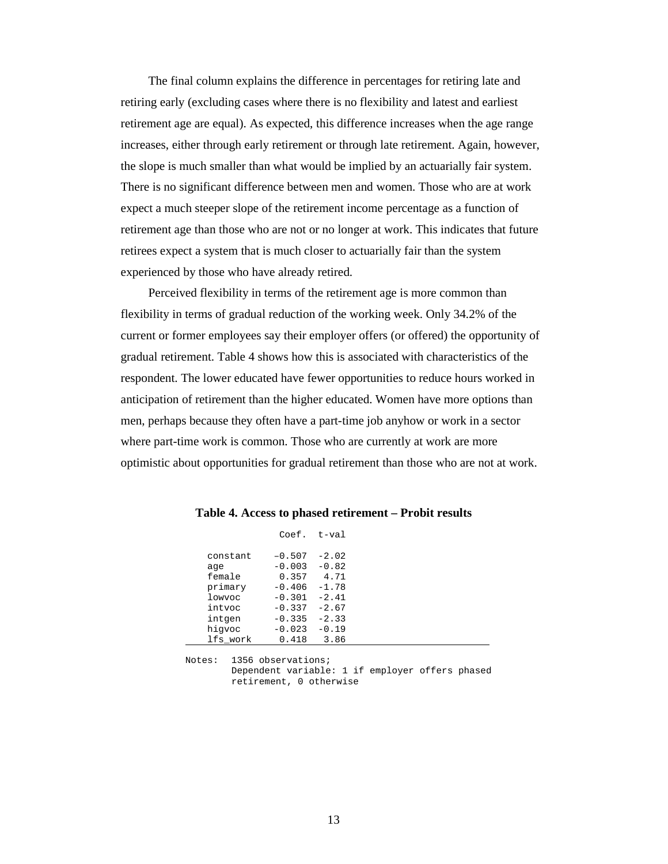The final column explains the difference in percentages for retiring late and retiring early (excluding cases where there is no flexibility and latest and earliest retirement age are equal). As expected, this difference increases when the age range increases, either through early retirement or through late retirement. Again, however, the slope is much smaller than what would be implied by an actuarially fair system. There is no significant difference between men and women. Those who are at work expect a much steeper slope of the retirement income percentage as a function of retirement age than those who are not or no longer at work. This indicates that future retirees expect a system that is much closer to actuarially fair than the system experienced by those who have already retired.

Perceived flexibility in terms of the retirement age is more common than flexibility in terms of gradual reduction of the working week. Only 34.2% of the current or former employees say their employer offers (or offered) the opportunity of gradual retirement. Table 4 shows how this is associated with characteristics of the respondent. The lower educated have fewer opportunities to reduce hours worked in anticipation of retirement than the higher educated. Women have more options than men, perhaps because they often have a part-time job anyhow or work in a sector where part-time work is common. Those who are currently at work are more optimistic about opportunities for gradual retirement than those who are not at work.

|          | $Coef. t-val$ |         |  |  |
|----------|---------------|---------|--|--|
| constant | $-0.507$      | $-2.02$ |  |  |
| age      | $-0.003$      | $-0.82$ |  |  |
| female   | 0.357         | 4.71    |  |  |
| primary  | $-0.406$      | $-1.78$ |  |  |
| lowyoc   | $-0.301$      | $-2.41$ |  |  |
| intvoc   | $-0.337$      | $-2.67$ |  |  |
| intgen   | $-0.335$      | $-2.33$ |  |  |
| hiqvoc   | $-0.023$      | $-0.19$ |  |  |
| lfs work | 0.418         | 3.86    |  |  |
|          |               |         |  |  |

**Table 4. Access to phased retirement – Probit results**

Notes: 1356 observations; Dependent variable: 1 if employer offers phased retirement, 0 otherwise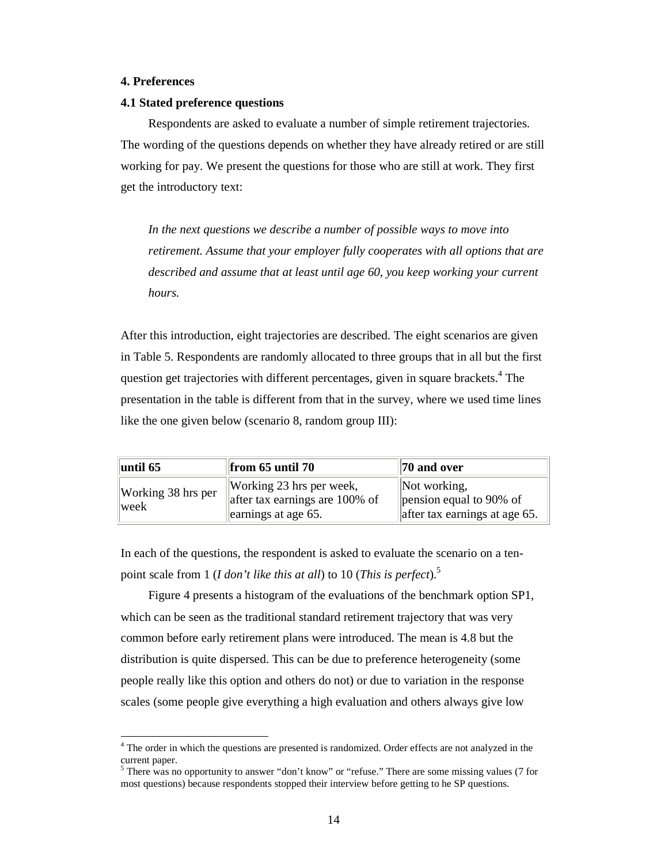### **4. Preferences**

 $\overline{a}$ 

### **4.1 Stated preference questions**

Respondents are asked to evaluate a number of simple retirement trajectories. The wording of the questions depends on whether they have already retired or are still working for pay. We present the questions for those who are still at work. They first get the introductory text:

*In the next questions we describe a number of possible ways to move into retirement. Assume that your employer fully cooperates with all options that are described and assume that at least until age 60, you keep working your current hours.*

After this introduction, eight trajectories are described. The eight scenarios are given in Table 5. Respondents are randomly allocated to three groups that in all but the first question get trajectories with different percentages, given in square brackets. 4 The presentation in the table is different from that in the survey, where we used time lines like the one given below (scenario 8, random group III):

| $\vert$ until 65             | $\parallel$ from 65 until 70                                                         | $\parallel$ 70 and over                                                                |
|------------------------------|--------------------------------------------------------------------------------------|----------------------------------------------------------------------------------------|
| Working $38$ hrs per<br>week | Working 23 hrs per week,<br>after tax earnings are 100% of<br>earnings at age $65$ . | Not working,<br>$\gamma$ pension equal to 90% of<br>$\ $ after tax earnings at age 65. |

In each of the questions, the respondent is asked to evaluate the scenario on a tenpoint scale from 1 (*I don't like this at all*) to 10 (*This is perfect*). 5

Figure 4 presents a histogram of the evaluations of the benchmark option SP1, which can be seen as the traditional standard retirement trajectory that was very common before early retirement plans were introduced. The mean is 4.8 but the distribution is quite dispersed. This can be due to preference heterogeneity (some people really like this option and others do not) or due to variation in the response scales (some people give everything a high evaluation and others always give low

<sup>&</sup>lt;sup>4</sup> The order in which the questions are presented is randomized. Order effects are not analyzed in the current paper.

 $<sup>5</sup>$  There was no opportunity to answer "don't know" or "refuse." There are some missing values (7 for</sup> most questions) because respondents stopped their interview before getting to he SP questions.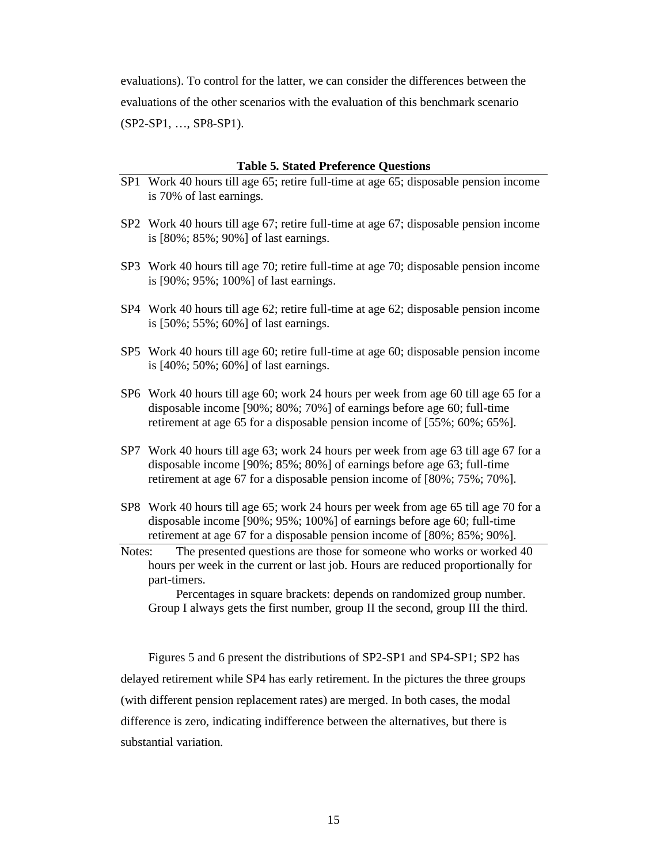evaluations). To control for the latter, we can consider the differences between the evaluations of the other scenarios with the evaluation of this benchmark scenario (SP2-SP1, …, SP8-SP1).

#### **Table 5. Stated Preference Questions**

- SP1 Work 40 hours till age 65; retire full-time at age 65; disposable pension income is 70% of last earnings.
- SP2 Work 40 hours till age 67; retire full-time at age 67; disposable pension income is [80%; 85%; 90%] of last earnings.
- SP3 Work 40 hours till age 70; retire full-time at age 70; disposable pension income is [90%; 95%; 100%] of last earnings.
- SP4 Work 40 hours till age 62; retire full-time at age 62; disposable pension income is [50%; 55%; 60%] of last earnings.
- SP5 Work 40 hours till age 60; retire full-time at age 60; disposable pension income is [40%; 50%; 60%] of last earnings.
- SP6 Work 40 hours till age 60; work 24 hours per week from age 60 till age 65 for a disposable income [90%; 80%; 70%] of earnings before age 60; full-time retirement at age 65 for a disposable pension income of [55%; 60%; 65%].
- SP7 Work 40 hours till age 63; work 24 hours per week from age 63 till age 67 for a disposable income [90%; 85%; 80%] of earnings before age 63; full-time retirement at age 67 for a disposable pension income of [80%; 75%; 70%].
- SP8 Work 40 hours till age 65; work 24 hours per week from age 65 till age 70 for a disposable income [90%; 95%; 100%] of earnings before age 60; full-time retirement at age 67 for a disposable pension income of [80%; 85%; 90%].
- Notes: The presented questions are those for someone who works or worked 40 hours per week in the current or last job. Hours are reduced proportionally for part-timers.

Percentages in square brackets: depends on randomized group number. Group I always gets the first number, group II the second, group III the third.

Figures 5 and 6 present the distributions of SP2-SP1 and SP4-SP1; SP2 has delayed retirement while SP4 has early retirement. In the pictures the three groups (with different pension replacement rates) are merged. In both cases, the modal difference is zero, indicating indifference between the alternatives, but there is substantial variation.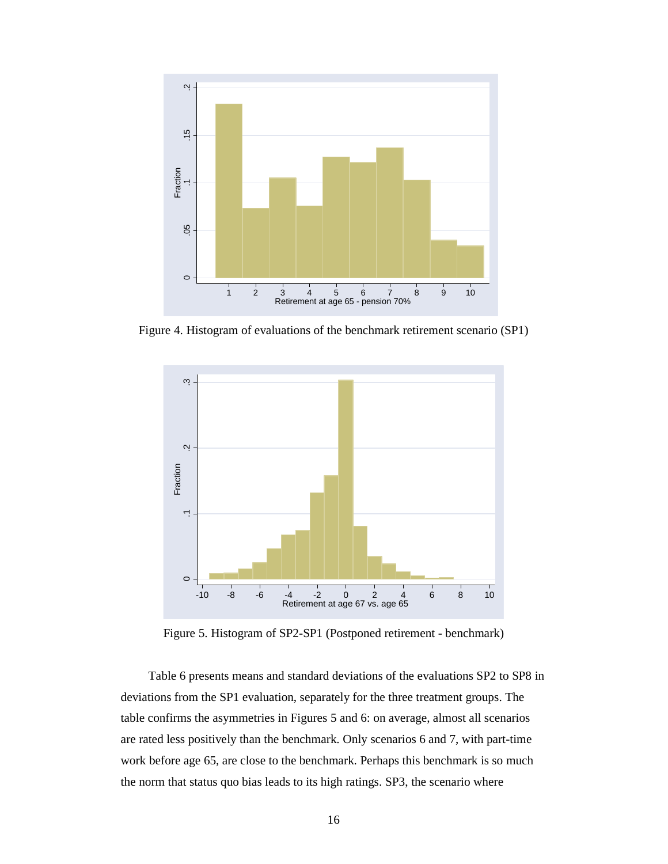

Figure 4. Histogram of evaluations of the benchmark retirement scenario (SP1)



Figure 5. Histogram of SP2-SP1 (Postponed retirement - benchmark)

Table 6 presents means and standard deviations of the evaluations SP2 to SP8 in deviations from the SP1 evaluation, separately for the three treatment groups. The table confirms the asymmetries in Figures 5 and 6: on average, almost all scenarios are rated less positively than the benchmark. Only scenarios 6 and 7, with part-time work before age 65, are close to the benchmark. Perhaps this benchmark is so much the norm that status quo bias leads to its high ratings. SP3, the scenario where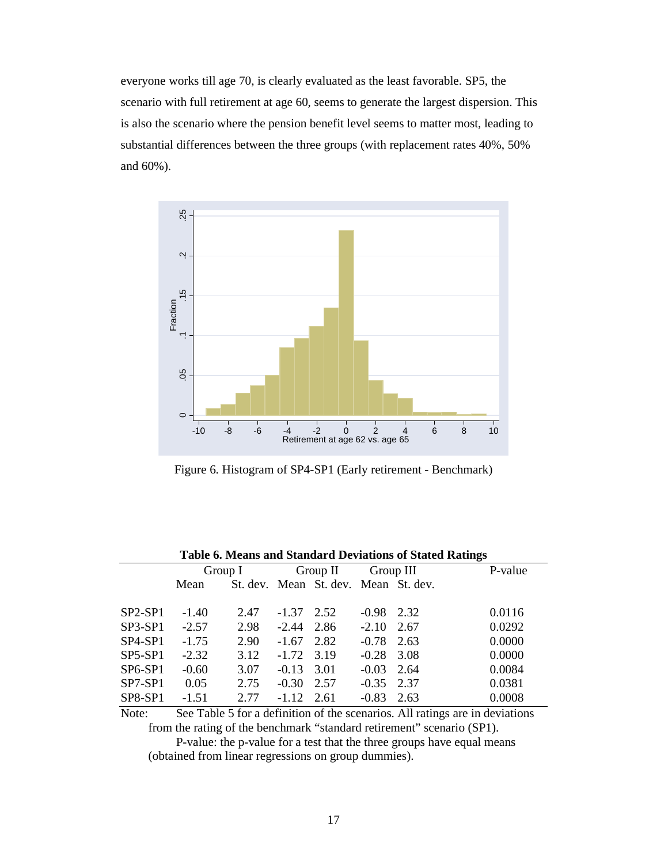everyone works till age 70, is clearly evaluated as the least favorable. SP5, the scenario with full retirement at age 60, seems to generate the largest dispersion. This is also the scenario where the pension benefit level seems to matter most, leading to substantial differences between the three groups (with replacement rates 40%, 50% and 60%).



Figure 6. Histogram of SP4-SP1 (Early retirement - Benchmark)

| Table 6. Means and Standard Deviations of Stated Ratings |      |         |                       |                                                                            |      |                                              |
|----------------------------------------------------------|------|---------|-----------------------|----------------------------------------------------------------------------|------|----------------------------------------------|
|                                                          |      |         | Group III<br>Group II |                                                                            |      | P-value                                      |
| Mean                                                     |      |         |                       |                                                                            |      |                                              |
|                                                          |      |         |                       |                                                                            |      |                                              |
| $-1.40$                                                  | 2.47 |         | 2.52                  | $-0.98$                                                                    |      | 0.0116                                       |
| $-2.57$                                                  | 2.98 |         |                       | $-2.10$                                                                    | 2.67 | 0.0292                                       |
| $-1.75$                                                  | 2.90 | $-1.67$ | 2.82                  | $-0.78$                                                                    | 2.63 | 0.0000                                       |
| $-2.32$                                                  | 3.12 |         |                       | $-0.28$                                                                    | 3.08 | 0.0000                                       |
| $-0.60$                                                  | 3.07 |         |                       | $-0.03$                                                                    | 2.64 | 0.0084                                       |
| 0.05                                                     | 2.75 | $-0.30$ | 2.57                  | $-0.35$                                                                    | 2.37 | 0.0381                                       |
| $-1.51$                                                  | 2.77 |         |                       | $-0.83$                                                                    | 2.63 | 0.0008                                       |
|                                                          |      | Group I |                       | $-1.37$<br>$-2.44$ 2.86<br>$-1.72$<br>3.19<br>$-0.13$ 3.01<br>$-1.12$ 2.61 |      | St. dev. Mean St. dev. Mean St. dev.<br>2.32 |

**Table 6. Means and Standard Deviations of Stated Ratings**

Note: See Table 5 for a definition of the scenarios. All ratings are in deviations from the rating of the benchmark "standard retirement" scenario (SP1).

P-value: the p-value for a test that the three groups have equal means (obtained from linear regressions on group dummies).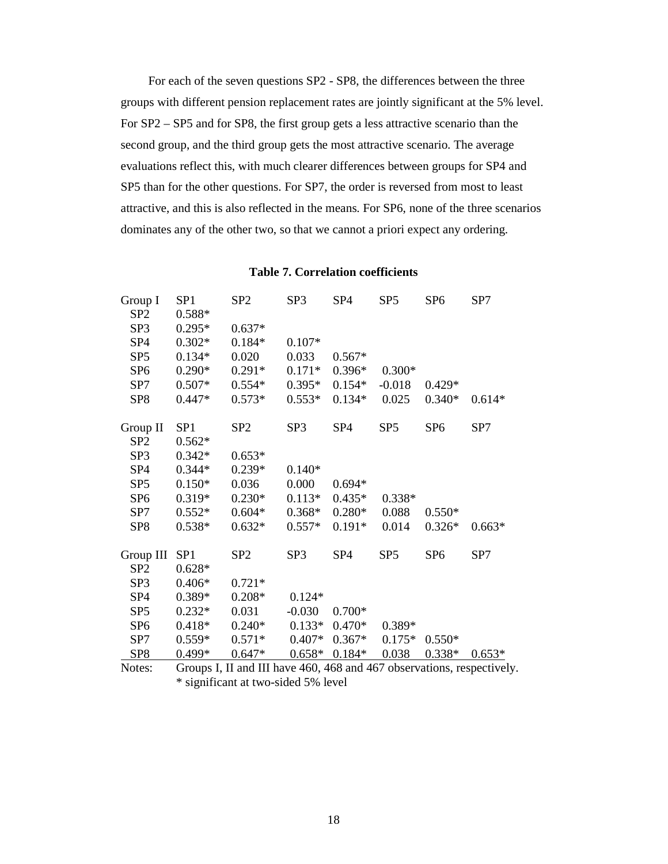For each of the seven questions SP2 - SP8, the differences between the three groups with different pension replacement rates are jointly significant at the 5% level. For SP2 – SP5 and for SP8, the first group gets a less attractive scenario than the second group, and the third group gets the most attractive scenario. The average evaluations reflect this, with much clearer differences between groups for SP4 and SP5 than for the other questions. For SP7, the order is reversed from most to least attractive, and this is also reflected in the means. For SP6, none of the three scenarios dominates any of the other two, so that we cannot a priori expect any ordering.

| Group I         | SP <sub>1</sub> | SP <sub>2</sub>                                                        | SP <sub>3</sub> | SP <sub>4</sub> | SP <sub>5</sub> | SP <sub>6</sub> | SP7      |
|-----------------|-----------------|------------------------------------------------------------------------|-----------------|-----------------|-----------------|-----------------|----------|
| SP <sub>2</sub> | 0.588*          |                                                                        |                 |                 |                 |                 |          |
| SP <sub>3</sub> | $0.295*$        | $0.637*$                                                               |                 |                 |                 |                 |          |
| SP <sub>4</sub> | $0.302*$        | $0.184*$                                                               | $0.107*$        |                 |                 |                 |          |
| SP <sub>5</sub> | $0.134*$        | 0.020                                                                  | 0.033           | $0.567*$        |                 |                 |          |
| SP <sub>6</sub> | $0.290*$        | $0.291*$                                                               | $0.171*$        | $0.396*$        | $0.300*$        |                 |          |
| SP7             | $0.507*$        | $0.554*$                                                               | $0.395*$        | $0.154*$        | $-0.018$        | $0.429*$        |          |
| SP <sub>8</sub> | $0.447*$        | $0.573*$                                                               | $0.553*$        | $0.134*$        | 0.025           | $0.340*$        | $0.614*$ |
| Group II        | SP <sub>1</sub> | SP <sub>2</sub>                                                        | SP <sub>3</sub> | SP <sub>4</sub> | SP <sub>5</sub> | SP <sub>6</sub> | SP7      |
| SP <sub>2</sub> | $0.562*$        |                                                                        |                 |                 |                 |                 |          |
| SP <sub>3</sub> | $0.342*$        | $0.653*$                                                               |                 |                 |                 |                 |          |
| SP <sub>4</sub> | $0.344*$        | $0.239*$                                                               | $0.140*$        |                 |                 |                 |          |
| SP <sub>5</sub> | $0.150*$        | 0.036                                                                  | 0.000           | $0.694*$        |                 |                 |          |
| SP <sub>6</sub> | 0.319*          | $0.230*$                                                               | $0.113*$        | $0.435*$        | $0.338*$        |                 |          |
| SP7             | $0.552*$        | $0.604*$                                                               | $0.368*$        | $0.280*$        | 0.088           | $0.550*$        |          |
| SP <sub>8</sub> | $0.538*$        | $0.632*$                                                               | $0.557*$        | $0.191*$        | 0.014           | $0.326*$        | $0.663*$ |
| Group III       | SP <sub>1</sub> | SP <sub>2</sub>                                                        | SP <sub>3</sub> | SP <sub>4</sub> | SP <sub>5</sub> | SP <sub>6</sub> | SP7      |
| SP <sub>2</sub> | $0.628*$        |                                                                        |                 |                 |                 |                 |          |
| SP <sub>3</sub> | $0.406*$        | $0.721*$                                                               |                 |                 |                 |                 |          |
| SP <sub>4</sub> | $0.389*$        | $0.208*$                                                               | $0.124*$        |                 |                 |                 |          |
| SP <sub>5</sub> | $0.232*$        | 0.031                                                                  | $-0.030$        | $0.700*$        |                 |                 |          |
| SP <sub>6</sub> | $0.418*$        | $0.240*$                                                               | $0.133*$        | $0.470*$        | 0.389*          |                 |          |
| SP7             | $0.559*$        | $0.571*$                                                               | $0.407*$        | $0.367*$        | $0.175*$        | $0.550*$        |          |
| SP <sub>8</sub> | $0.499*$        | $0.647*$                                                               | $0.658*$        | $0.184*$        | 0.038           | $0.338*$        | $0.653*$ |
| Notes:          |                 | Groups I, II and III have 460, 468 and 467 observations, respectively. |                 |                 |                 |                 |          |

**Table 7. Correlation coefficients**

\* significant at two-sided 5% level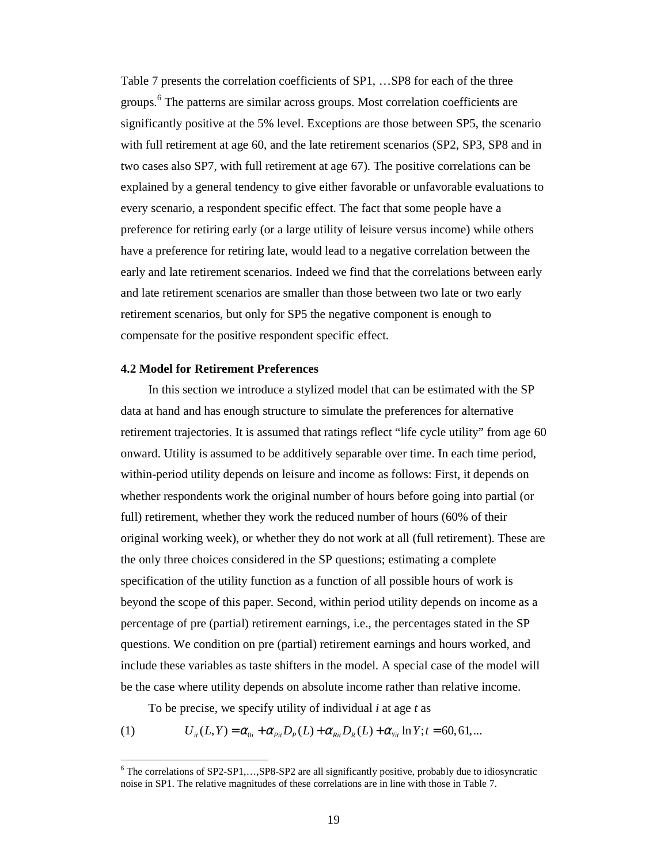Table 7 presents the correlation coefficients of SP1, …SP8 for each of the three groups. 6 The patterns are similar across groups. Most correlation coefficients are significantly positive at the 5% level. Exceptions are those between SP5, the scenario with full retirement at age 60, and the late retirement scenarios (SP2, SP3, SP8 and in two cases also SP7, with full retirement at age 67). The positive correlations can be explained by a general tendency to give either favorable or unfavorable evaluations to every scenario, a respondent specific effect. The fact that some people have a preference for retiring early (or a large utility of leisure versus income) while others have a preference for retiring late, would lead to a negative correlation between the early and late retirement scenarios. Indeed we find that the correlations between early and late retirement scenarios are smaller than those between two late or two early retirement scenarios, but only for SP5 the negative component is enough to compensate for the positive respondent specific effect.

#### **4.2 Model for Retirement Preferences**

In this section we introduce a stylized model that can be estimated with the SP data at hand and has enough structure to simulate the preferences for alternative retirement trajectories. It is assumed that ratings reflect "life cycle utility" from age 60 onward. Utility is assumed to be additively separable over time. In each time period, within-period utility depends on leisure and income as follows: First, it depends on whether respondents work the original number of hours before going into partial (or full) retirement, whether they work the reduced number of hours (60% of their original working week), or whether they do not work at all (full retirement). These are the only three choices considered in the SP questions; estimating a complete specification of the utility function as a function of all possible hours of work is beyond the scope of this paper. Second, within period utility depends on income as a percentage of pre (partial) retirement earnings, i.e., the percentages stated in the SP questions. We condition on pre (partial) retirement earnings and hours worked, and include these variables as taste shifters in the model. A special case of the model will be the case where utility depends on absolute income rather than relative income.

To be precise, we specify utility of individual *i* at age *t* as

(1)  $U_{ii}(L, Y) = \alpha_{0i} + \alpha_{Pii}D_{P}(L) + \alpha_{Rii}D_{R}(L) + \alpha_{Yii} \ln Y; t = 60, 61, ...$ 

<sup>&</sup>lt;sup>6</sup> The correlations of SP2-SP1,...,SP8-SP2 are all significantly positive, probably due to idiosyncratic noise in SP1. The relative magnitudes of these correlations are in line with those in Table 7.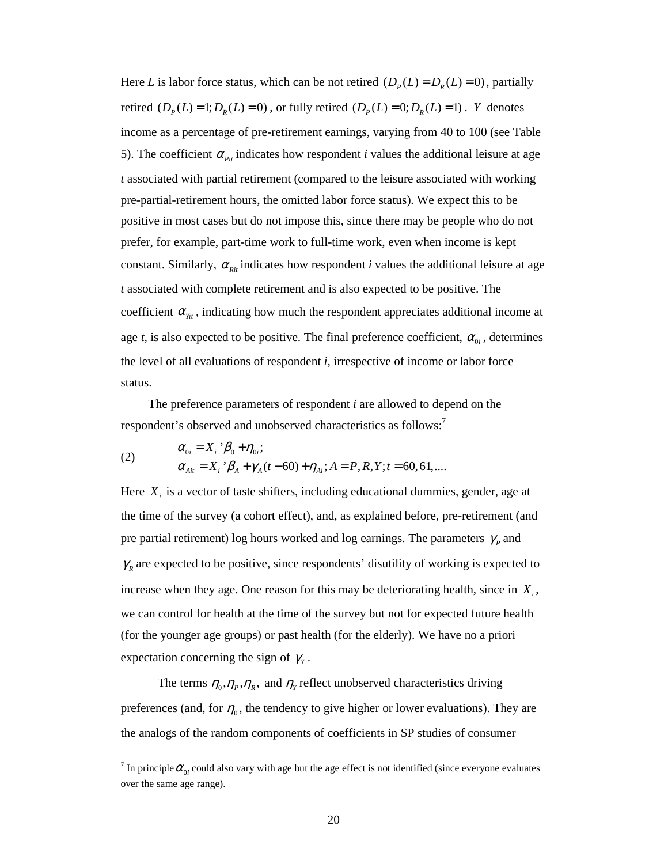Here *L* is labor force status, which can be not retired  $(D<sub>p</sub>(L) = D<sub>R</sub>(L) = 0)$ , partially retired  $(D_p(L)=1; D_p(L)=0)$ , or fully retired  $(D_p(L)=0; D_p(L)=1)$ . *Y* denotes income as a percentage of pre-retirement earnings, varying from 40 to 100 (see Table 5). The coefficient  $\alpha_{pi}$  indicates how respondent *i* values the additional leisure at age *t* associated with partial retirement (compared to the leisure associated with working pre-partial-retirement hours, the omitted labor force status). We expect this to be positive in most cases but do not impose this, since there may be people who do not prefer, for example, part-time work to full-time work, even when income is kept constant. Similarly,  $\alpha_{\text{R}i}$  indicates how respondent *i* values the additional leisure at age *t* associated with complete retirement and is also expected to be positive. The coefficient  $\alpha_{\text{Y}_{it}}$ , indicating how much the respondent appreciates additional income at age *t*, is also expected to be positive. The final preference coefficient,  $\alpha_{0i}$ , determines the level of all evaluations of respondent *i,* irrespective of income or labor force status.

The preference parameters of respondent *i* are allowed to depend on the respondent's observed and unobserved characteristics as follows:<sup>7</sup>

(2) 
$$
\alpha_{0i} = X_i \,^{\prime} \beta_0 + \eta_{0i};
$$

$$
\alpha_{Ai} = X_i \,^{\prime} \beta_A + \gamma_A(t - 60) + \eta_{Ai}; A = P, R, Y; t = 60, 61, ....
$$

Here  $X_i$  is a vector of taste shifters, including educational dummies, gender, age at the time of the survey (a cohort effect), and, as explained before, pre-retirement (and pre partial retirement) log hours worked and log earnings. The parameters  $\gamma_p$  and  $\gamma_R$  are expected to be positive, since respondents' disutility of working is expected to increase when they age. One reason for this may be deteriorating health, since in  $X_i$ , we can control for health at the time of the survey but not for expected future health (for the younger age groups) or past health (for the elderly). We have no a priori expectation concerning the sign of  $\gamma$ <sub>y</sub>.

The terms  $\eta_0$ ,  $\eta_p$ ,  $\eta_R$ , and  $\eta_Y$  reflect unobserved characteristics driving preferences (and, for  $\eta_0$ , the tendency to give higher or lower evaluations). They are the analogs of the random components of coefficients in SP studies of consumer

 $\overline{a}$ 

<sup>&</sup>lt;sup>7</sup> In principle  $\alpha_{0i}$  could also vary with age but the age effect is not identified (since everyone evaluates over the same age range).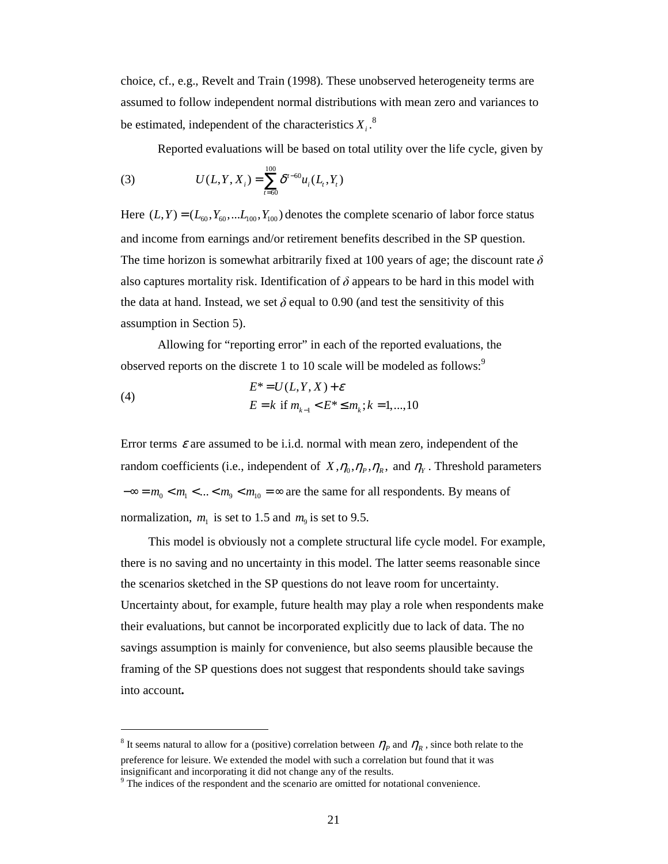choice, cf., e.g., Revelt and Train (1998). These unobserved heterogeneity terms are assumed to follow independent normal distributions with mean zero and variances to be estimated, independent of the characteristics  $X_i$ .<sup>8</sup>

Reported evaluations will be based on total utility over the life cycle, given by

(3) 
$$
U(L,Y,X_i) = \sum_{t=60}^{100} \delta^{t-60} u_i(L_t,Y_t)
$$

Here  $(L, Y) = (L_{60}, Y_{60}, \dots, L_{100}, Y_{100})$  denotes the complete scenario of labor force status and income from earnings and/or retirement benefits described in the SP question. The time horizon is somewhat arbitrarily fixed at 100 years of age; the discount rate  $\delta$ also captures mortality risk. Identification of  $\delta$  appears to be hard in this model with the data at hand. Instead, we set  $\delta$  equal to 0.90 (and test the sensitivity of this assumption in Section 5).

Allowing for "reporting error" in each of the reported evaluations, the observed reports on the discrete 1 to 10 scale will be modeled as follows:<sup>9</sup>

(4) 
$$
E^* = U(L, Y, X) + \varepsilon
$$

$$
E = k \text{ if } m_{k-1} < E^* \le m_k; k = 1, ..., 10
$$

Error terms  $\varepsilon$  are assumed to be i.i.d. normal with mean zero, independent of the random coefficients (i.e., independent of  $X, \eta_0, \eta_P, \eta_R$ , and  $\eta_Y$ . Threshold parameters  $-\infty = m_0 < m_1 < ... < m_9 < m_{10} = \infty$  are the same for all respondents. By means of normalization,  $m_1$  is set to 1.5 and  $m_9$  is set to 9.5.

This model is obviously not a complete structural life cycle model. For example, there is no saving and no uncertainty in this model. The latter seems reasonable since the scenarios sketched in the SP questions do not leave room for uncertainty. Uncertainty about, for example, future health may play a role when respondents make their evaluations, but cannot be incorporated explicitly due to lack of data. The no savings assumption is mainly for convenience, but also seems plausible because the framing of the SP questions does not suggest that respondents should take savings into account**.**

 $\ddot{\phantom{a}}$ 

<sup>&</sup>lt;sup>8</sup> It seems natural to allow for a (positive) correlation between  $\eta_p$  and  $\eta_R$ , since both relate to the preference for leisure. We extended the model with such a correlation but found that it was insignificant and incorporating it did not change any of the results.

<sup>&</sup>lt;sup>9</sup> The indices of the respondent and the scenario are omitted for notational convenience.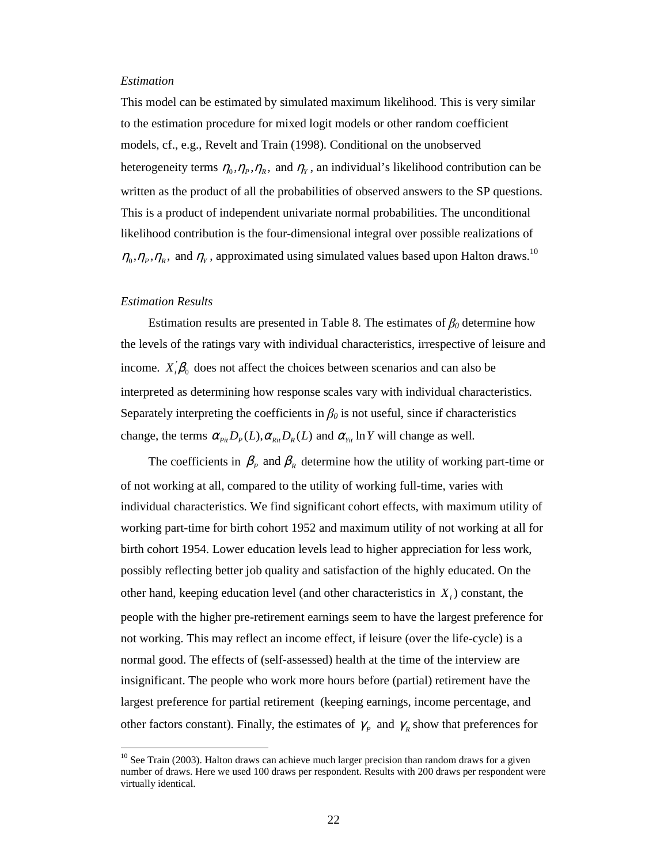#### *Estimation*

This model can be estimated by simulated maximum likelihood. This is very similar to the estimation procedure for mixed logit models or other random coefficient models, cf., e.g., Revelt and Train (1998). Conditional on the unobserved heterogeneity terms  $\eta_0$ ,  $\eta_p$ ,  $\eta_R$ , and  $\eta_y$ , an individual's likelihood contribution can be written as the product of all the probabilities of observed answers to the SP questions. This is a product of independent univariate normal probabilities. The unconditional likelihood contribution is the four-dimensional integral over possible realizations of  $\eta_0$ ,  $\eta_p$ ,  $\eta_R$ , and  $\eta_y$ , approximated using simulated values based upon Halton draws.<sup>10</sup>

#### *Estimation Results*

 $\ddot{\phantom{a}}$ 

Estimation results are presented in Table 8. The estimates of  $\beta_0$  determine how the levels of the ratings vary with individual characteristics, irrespective of leisure and income.  $X_i^{\dagger} \beta_0$  does not affect the choices between scenarios and can also be interpreted as determining how response scales vary with individual characteristics. Separately interpreting the coefficients in  $\beta_0$  is not useful, since if characteristics change, the terms  $\alpha_{p_i} D_p(L), \alpha_{p_i} D_p(L)$  and  $\alpha_{y_i}$  *In Y* will change as well.

The coefficients in  $\beta_{p}$  and  $\beta_{R}$  determine how the utility of working part-time or of not working at all, compared to the utility of working full-time, varies with individual characteristics. We find significant cohort effects, with maximum utility of working part-time for birth cohort 1952 and maximum utility of not working at all for birth cohort 1954. Lower education levels lead to higher appreciation for less work, possibly reflecting better job quality and satisfaction of the highly educated. On the other hand, keeping education level (and other characteristics in *X<sup>i</sup>* ) constant, the people with the higher pre-retirement earnings seem to have the largest preference for not working. This may reflect an income effect, if leisure (over the life-cycle) is a normal good. The effects of (self-assessed) health at the time of the interview are insignificant. The people who work more hours before (partial) retirement have the largest preference for partial retirement (keeping earnings, income percentage, and other factors constant). Finally, the estimates of  $\gamma_p$  and  $\gamma_g$  show that preferences for

<sup>&</sup>lt;sup>10</sup> See Train (2003). Halton draws can achieve much larger precision than random draws for a given number of draws. Here we used 100 draws per respondent. Results with 200 draws per respondent were virtually identical.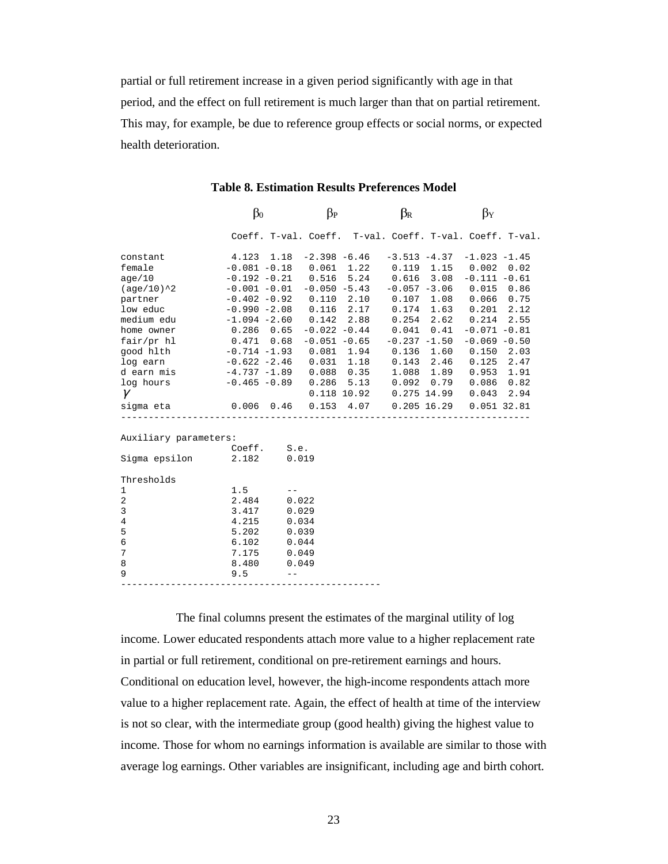partial or full retirement increase in a given period significantly with age in that period, and the effect on full retirement is much larger than that on partial retirement. This may, for example, be due to reference group effects or social norms, or expected health deterioration.

|                                                         | $\beta_0$                      | $\beta_{P}$  | $\beta_{\rm R}$                | $\beta_Y$                                                    |
|---------------------------------------------------------|--------------------------------|--------------|--------------------------------|--------------------------------------------------------------|
|                                                         |                                |              |                                | Coeff. T-val. Coeff. T-val. Coeff. T-val. Coeff. T-val.      |
| constant                                                | 4.123 1.18                     |              |                                | $-2.398 -6.46 -3.513 -4.37 -1.023 -1.45$                     |
| female                                                  |                                |              |                                | $-0.081 - 0.18$ 0.061 1.22 0.119 1.15 0.002 0.02             |
| aqe/10                                                  |                                |              |                                | $-0.192 - 0.21$ $0.516$ 5.24 $0.616$ 3.08 $-0.111$ $-0.61$   |
| (age/10)^2                                              | $-0.001 - 0.01 - 0.050 - 5.43$ |              |                                | $-0.057 -3.06$ 0.015 0.86                                    |
| partner                                                 |                                |              |                                | $-0.402 - 0.92$ $0.110$ $2.10$ $0.107$ $1.08$ $0.066$ $0.75$ |
| low educ                                                | $-0.990 -2.08$                 | $0.116$ 2.17 | $0.174$ 1.63                   | 0.201<br>2.12                                                |
|                                                         |                                |              |                                | 2.55                                                         |
| home owner 0.286 0.65                                   |                                |              | $-0.022 -0.44$ $0.041$ $0.41$  | $-0.071 - 0.81$                                              |
| $fair/pr$ hl $0.471$ $0.68$                             |                                |              | $-0.051 - 0.65 - 0.237 - 1.50$ | $-0.069 - 0.50$                                              |
| good hlth -0.714 -1.93 0.081 1.94 0.136 1.60 0.150 2.03 |                                |              |                                |                                                              |
| log earn                                                | $-0.622 -2.46$ 0.031 1.18      |              | $0.143$ 2.46                   | $0.125$ 2.47                                                 |
| d earn mis                                              | $-4.737 -1.89$ 0.088 0.35      |              | 1.088 1.89                     | $0.953$ 1.91                                                 |
| log hours                                               | $-0.465 - 0.89$ 0.286 5.13     |              | $0.092 \quad 0.79$             | $0.086$ 0.82                                                 |
| $\gamma$                                                |                                |              |                                | 0.118 10.92  0.275 14.99  0.043  2.94                        |
| sigma eta $0.006$ 0.46 0.153 4.07 0.205 16.29           |                                |              |                                | $0.051$ 32.81                                                |
| Auxiliary parameters:                                   |                                |              |                                |                                                              |
|                                                         | Coeff. S.e.                    |              |                                |                                                              |
| Sigma epsilon 2.182 0.019                               |                                |              |                                |                                                              |
| Thresholds                                              |                                |              |                                |                                                              |
| $\mathbf{1}$                                            | 1.5                            | $- -$        |                                |                                                              |
| 2                                                       | 2.484                          | 0.022        |                                |                                                              |
| 3                                                       | 3.417                          | 0.029        |                                |                                                              |
| 4                                                       | 4.215                          | 0.034        |                                |                                                              |
| 5                                                       | 5.202                          | 0.039        |                                |                                                              |
| $\epsilon$                                              | 6.102                          | 0.044        |                                |                                                              |
| $7\phantom{.0}$                                         | 7.175                          | 0.049        |                                |                                                              |
| 8                                                       | 8.480                          | 0.049        |                                |                                                              |
| 9                                                       | 9.5                            |              |                                |                                                              |

The final columns present the estimates of the marginal utility of log income. Lower educated respondents attach more value to a higher replacement rate in partial or full retirement, conditional on pre-retirement earnings and hours. Conditional on education level, however, the high-income respondents attach more value to a higher replacement rate. Again, the effect of health at time of the interview is not so clear, with the intermediate group (good health) giving the highest value to income. Those for whom no earnings information is available are similar to those with average log earnings. Other variables are insignificant, including age and birth cohort.

-----------------------------------------------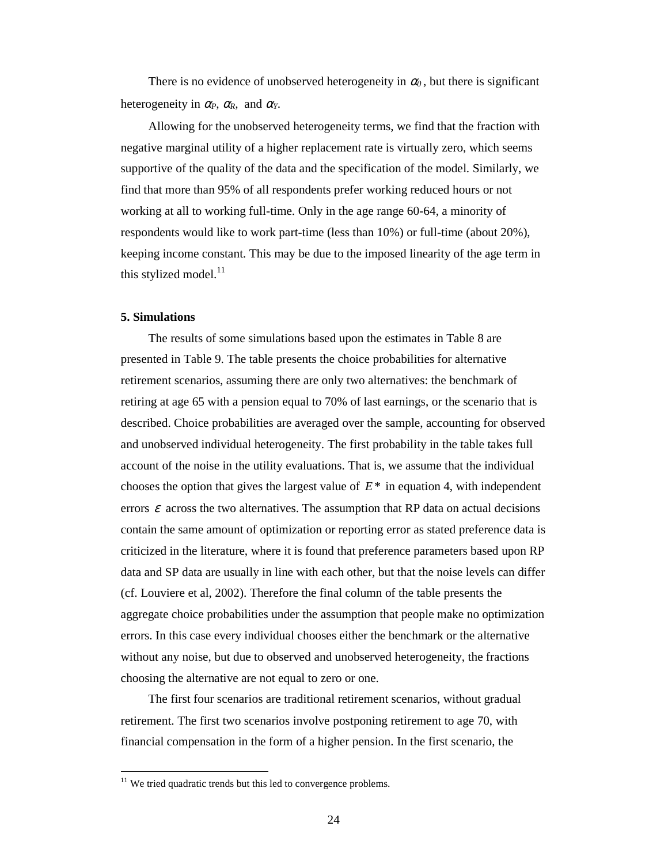There is no evidence of unobserved heterogeneity in  $\alpha_0$ , but there is significant heterogeneity in  $\alpha_P$ ,  $\alpha_R$ , and  $\alpha_Y$ .

Allowing for the unobserved heterogeneity terms, we find that the fraction with negative marginal utility of a higher replacement rate is virtually zero, which seems supportive of the quality of the data and the specification of the model. Similarly, we find that more than 95% of all respondents prefer working reduced hours or not working at all to working full-time. Only in the age range 60-64, a minority of respondents would like to work part-time (less than 10%) or full-time (about 20%), keeping income constant. This may be due to the imposed linearity of the age term in this stylized model.<sup>11</sup>

# **5. Simulations**

 $\ddot{\phantom{a}}$ 

The results of some simulations based upon the estimates in Table 8 are presented in Table 9. The table presents the choice probabilities for alternative retirement scenarios, assuming there are only two alternatives: the benchmark of retiring at age 65 with a pension equal to 70% of last earnings, or the scenario that is described. Choice probabilities are averaged over the sample, accounting for observed and unobserved individual heterogeneity. The first probability in the table takes full account of the noise in the utility evaluations. That is, we assume that the individual chooses the option that gives the largest value of *E* \* in equation 4, with independent errors  $\varepsilon$  across the two alternatives. The assumption that RP data on actual decisions contain the same amount of optimization or reporting error as stated preference data is criticized in the literature, where it is found that preference parameters based upon RP data and SP data are usually in line with each other, but that the noise levels can differ (cf. Louviere et al, 2002). Therefore the final column of the table presents the aggregate choice probabilities under the assumption that people make no optimization errors. In this case every individual chooses either the benchmark or the alternative without any noise, but due to observed and unobserved heterogeneity, the fractions choosing the alternative are not equal to zero or one.

The first four scenarios are traditional retirement scenarios, without gradual retirement. The first two scenarios involve postponing retirement to age 70, with financial compensation in the form of a higher pension. In the first scenario, the

 $11$  We tried quadratic trends but this led to convergence problems.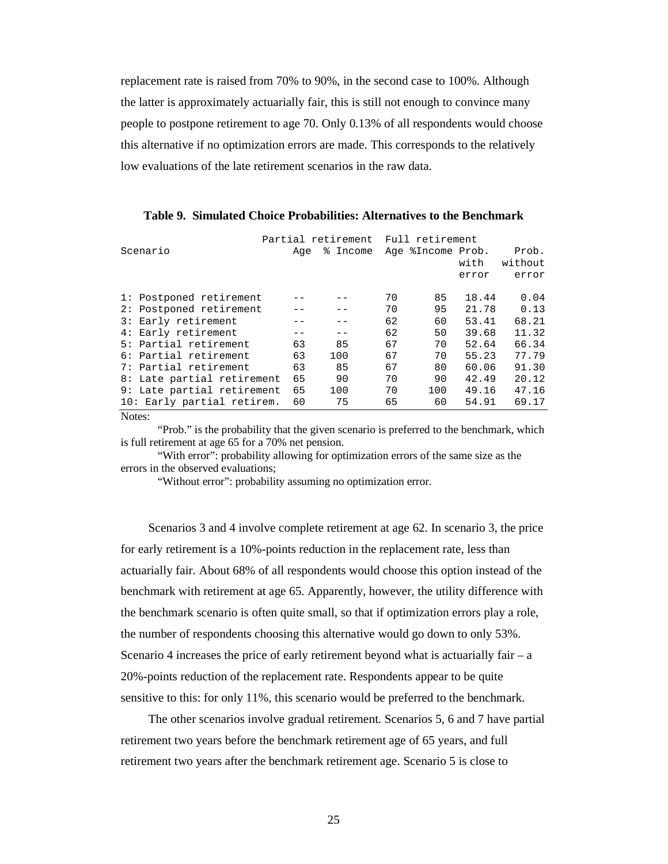replacement rate is raised from 70% to 90%, in the second case to 100%. Although the latter is approximately actuarially fair, this is still not enough to convince many people to postpone retirement to age 70. Only 0.13% of all respondents would choose this alternative if no optimization errors are made. This corresponds to the relatively low evaluations of the late retirement scenarios in the raw data.

|                                    |     | Partial retirement |    | Full retirement   |       |         |
|------------------------------------|-----|--------------------|----|-------------------|-------|---------|
| Scenario                           | Aqe | % Income           |    | Age %Income Prob. |       | Prob.   |
|                                    |     |                    |    |                   | with  | without |
|                                    |     |                    |    |                   | error | error   |
|                                    |     |                    |    |                   |       |         |
| 1: Postponed retirement            |     |                    | 70 | 85                | 18.44 | 0.04    |
| Postponed retirement<br>2:         |     |                    | 70 | 95                | 21.78 | 0.13    |
| Early retirement<br>$\mathbf{3}$ : |     |                    | 62 | 60                | 53.41 | 68.21   |
| Early retirement<br>4 :            |     |                    | 62 | 50                | 39.68 | 11.32   |
| Partial retirement<br>5 :          | 63  | 85                 | 67 | 70                | 52.64 | 66.34   |
| 6: Partial retirement              | 63  | 100                | 67 | 70                | 55.23 | 77.79   |
| 7: Partial retirement              | 63  | 85                 | 67 | 80                | 60.06 | 91.30   |
| 8: Late partial retirement         | 65  | 90                 | 70 | 90                | 42.49 | 20.12   |
| Late partial retirement<br>9 :     | 65  | 100                | 70 | 100               | 49.16 | 47.16   |
| 10: Early partial retirem.         | 60  | 75                 | 65 | 60                | 54.91 | 69.17   |
|                                    |     |                    |    |                   |       |         |

**Table 9. Simulated Choice Probabilities: Alternatives to the Benchmark**

Notes:

"Prob." is the probability that the given scenario is preferred to the benchmark, which is full retirement at age 65 for a 70% net pension.

"With error": probability allowing for optimization errors of the same size as the errors in the observed evaluations;

"Without error": probability assuming no optimization error.

Scenarios 3 and 4 involve complete retirement at age 62. In scenario 3, the price for early retirement is a 10%-points reduction in the replacement rate, less than actuarially fair. About 68% of all respondents would choose this option instead of the benchmark with retirement at age 65. Apparently, however, the utility difference with the benchmark scenario is often quite small, so that if optimization errors play a role, the number of respondents choosing this alternative would go down to only 53%. Scenario 4 increases the price of early retirement beyond what is actuarially fair – a 20%-points reduction of the replacement rate. Respondents appear to be quite sensitive to this: for only 11%, this scenario would be preferred to the benchmark.

The other scenarios involve gradual retirement. Scenarios 5, 6 and 7 have partial retirement two years before the benchmark retirement age of 65 years, and full retirement two years after the benchmark retirement age. Scenario 5 is close to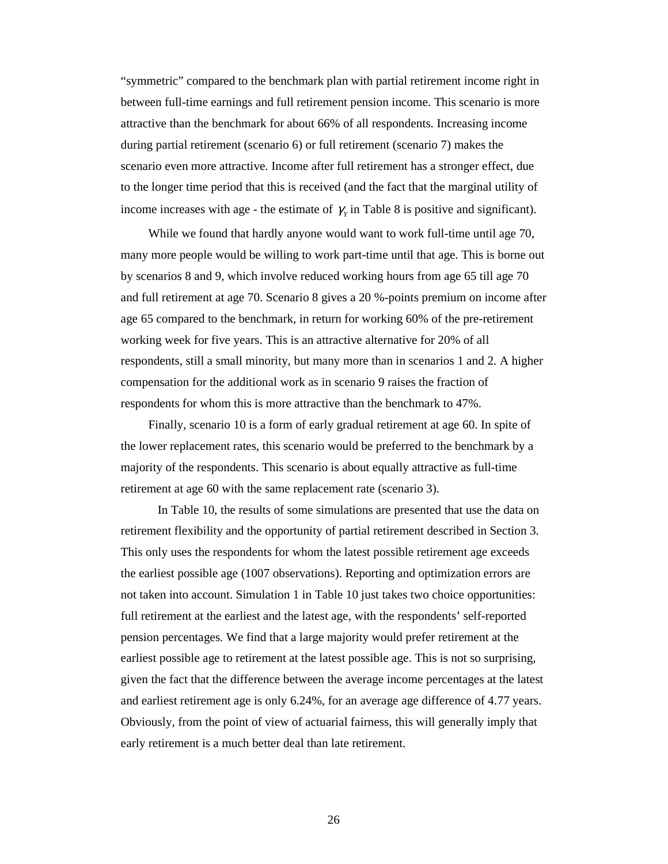"symmetric" compared to the benchmark plan with partial retirement income right in between full-time earnings and full retirement pension income. This scenario is more attractive than the benchmark for about 66% of all respondents. Increasing income during partial retirement (scenario 6) or full retirement (scenario 7) makes the scenario even more attractive. Income after full retirement has a stronger effect, due to the longer time period that this is received (and the fact that the marginal utility of income increases with age - the estimate of  $\gamma$ <sup>*y*</sup> in Table 8 is positive and significant).

While we found that hardly anyone would want to work full-time until age 70, many more people would be willing to work part-time until that age. This is borne out by scenarios 8 and 9, which involve reduced working hours from age 65 till age 70 and full retirement at age 70. Scenario 8 gives a 20 %-points premium on income after age 65 compared to the benchmark, in return for working 60% of the pre-retirement working week for five years. This is an attractive alternative for 20% of all respondents, still a small minority, but many more than in scenarios 1 and 2. A higher compensation for the additional work as in scenario 9 raises the fraction of respondents for whom this is more attractive than the benchmark to 47%.

Finally, scenario 10 is a form of early gradual retirement at age 60. In spite of the lower replacement rates, this scenario would be preferred to the benchmark by a majority of the respondents. This scenario is about equally attractive as full-time retirement at age 60 with the same replacement rate (scenario 3).

In Table 10, the results of some simulations are presented that use the data on retirement flexibility and the opportunity of partial retirement described in Section 3. This only uses the respondents for whom the latest possible retirement age exceeds the earliest possible age (1007 observations). Reporting and optimization errors are not taken into account. Simulation 1 in Table 10 just takes two choice opportunities: full retirement at the earliest and the latest age, with the respondents' self-reported pension percentages. We find that a large majority would prefer retirement at the earliest possible age to retirement at the latest possible age. This is not so surprising, given the fact that the difference between the average income percentages at the latest and earliest retirement age is only 6.24%, for an average age difference of 4.77 years. Obviously, from the point of view of actuarial fairness, this will generally imply that early retirement is a much better deal than late retirement.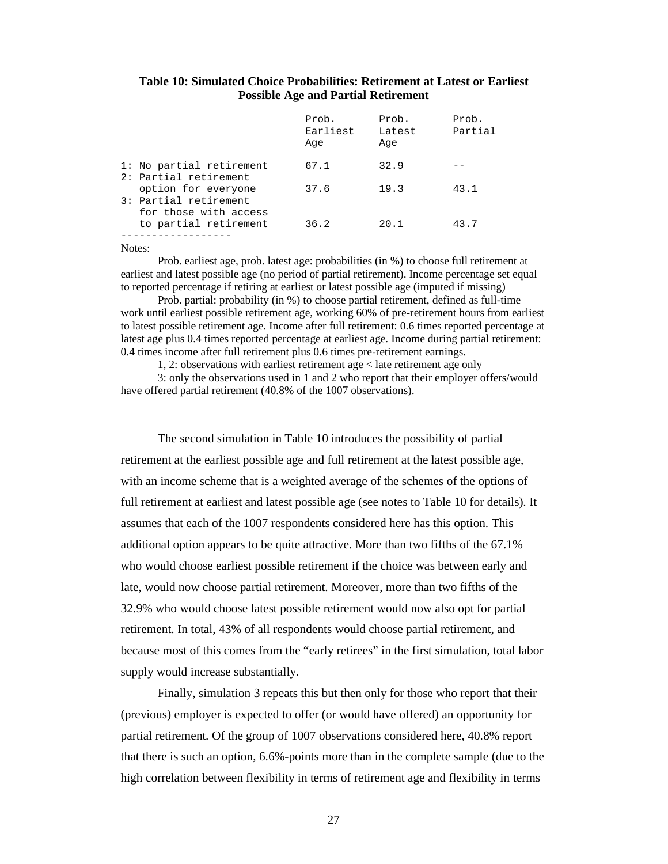# **Table 10: Simulated Choice Probabilities: Retirement at Latest or Earliest Possible Age and Partial Retirement**

|                                                   | Prob.<br>Earliest<br>Aqe | Prob.<br>Latest<br>Age | Prob.<br>Partial |
|---------------------------------------------------|--------------------------|------------------------|------------------|
| 1: No partial retirement<br>2: Partial retirement | 67.1                     | 32.9                   |                  |
| option for everyone<br>3: Partial retirement      | 37.6                     | 19.3                   | 43.1             |
| for those with access<br>to partial retirement    | 36.2                     | 20.1                   | 43.7             |

#### Notes:

Prob. earliest age, prob. latest age: probabilities (in %) to choose full retirement at earliest and latest possible age (no period of partial retirement). Income percentage set equal to reported percentage if retiring at earliest or latest possible age (imputed if missing)

Prob. partial: probability (in %) to choose partial retirement, defined as full-time work until earliest possible retirement age, working 60% of pre-retirement hours from earliest to latest possible retirement age. Income after full retirement: 0.6 times reported percentage at latest age plus 0.4 times reported percentage at earliest age. Income during partial retirement: 0.4 times income after full retirement plus 0.6 times pre-retirement earnings.

1, 2: observations with earliest retirement age < late retirement age only

3: only the observations used in 1 and 2 who report that their employer offers/would have offered partial retirement (40.8% of the 1007 observations).

The second simulation in Table 10 introduces the possibility of partial retirement at the earliest possible age and full retirement at the latest possible age, with an income scheme that is a weighted average of the schemes of the options of full retirement at earliest and latest possible age (see notes to Table 10 for details). It assumes that each of the 1007 respondents considered here has this option. This additional option appears to be quite attractive. More than two fifths of the 67.1% who would choose earliest possible retirement if the choice was between early and late, would now choose partial retirement. Moreover, more than two fifths of the 32.9% who would choose latest possible retirement would now also opt for partial retirement. In total, 43% of all respondents would choose partial retirement, and because most of this comes from the "early retirees" in the first simulation, total labor supply would increase substantially.

Finally, simulation 3 repeats this but then only for those who report that their (previous) employer is expected to offer (or would have offered) an opportunity for partial retirement. Of the group of 1007 observations considered here, 40.8% report that there is such an option, 6.6%-points more than in the complete sample (due to the high correlation between flexibility in terms of retirement age and flexibility in terms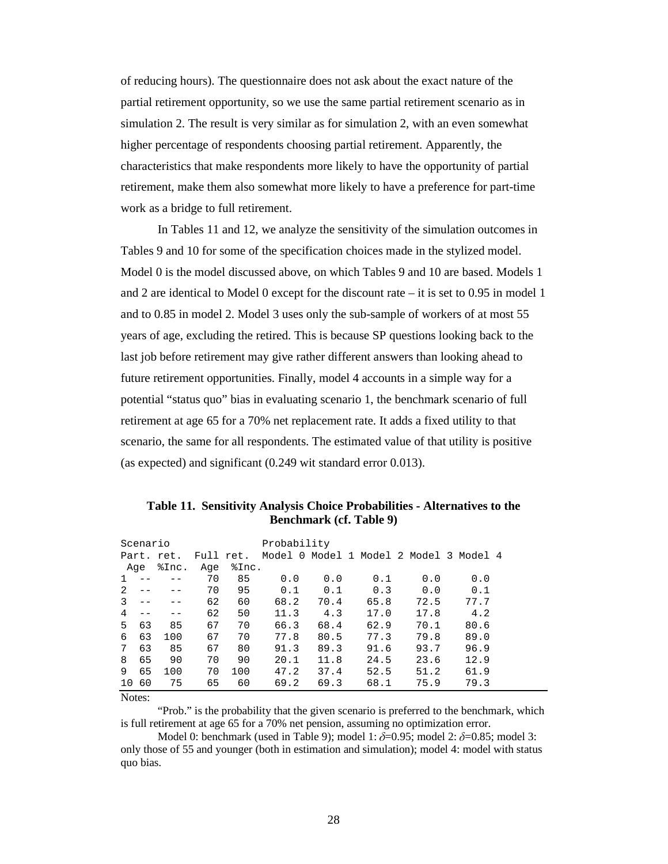of reducing hours). The questionnaire does not ask about the exact nature of the partial retirement opportunity, so we use the same partial retirement scenario as in simulation 2. The result is very similar as for simulation 2, with an even somewhat higher percentage of respondents choosing partial retirement. Apparently, the characteristics that make respondents more likely to have the opportunity of partial retirement, make them also somewhat more likely to have a preference for part-time work as a bridge to full retirement.

In Tables 11 and 12, we analyze the sensitivity of the simulation outcomes in Tables 9 and 10 for some of the specification choices made in the stylized model. Model 0 is the model discussed above, on which Tables 9 and 10 are based. Models 1 and 2 are identical to Model 0 except for the discount rate – it is set to 0.95 in model 1 and to 0.85 in model 2. Model 3 uses only the sub-sample of workers of at most 55 years of age, excluding the retired. This is because SP questions looking back to the last job before retirement may give rather different answers than looking ahead to future retirement opportunities. Finally, model 4 accounts in a simple way for a potential "status quo" bias in evaluating scenario 1, the benchmark scenario of full retirement at age 65 for a 70% net replacement rate. It adds a fixed utility to that scenario, the same for all respondents. The estimated value of that utility is positive (as expected) and significant (0.249 wit standard error 0.013).

| Scenario |    |       |     |           | Probability                     |      |  |      |  |      |  |         |  |
|----------|----|-------|-----|-----------|---------------------------------|------|--|------|--|------|--|---------|--|
| Part.    |    | ret.  |     | Full ret. | Model 0 Model 1 Model 2 Model 3 |      |  |      |  |      |  | Model 4 |  |
| Aqe      |    | %Inc. | Age | %Inc.     |                                 |      |  |      |  |      |  |         |  |
| 1        |    |       | 70  | 85        | 0.0                             | 0.0  |  | 0.1  |  | 0.0  |  | 0.0     |  |
| 2        |    |       | 70  | 95        | 0.1                             | 0.1  |  | 0.3  |  | 0.0  |  | 0.1     |  |
|          |    |       | 62  | 60        | 68.2                            | 70.4 |  | 65.8 |  | 72.5 |  | 77.7    |  |
| 4        |    |       | 62  | 50        | 11.3                            | 4.3  |  | 17.0 |  | 17.8 |  | 4.2     |  |
| 5        | 63 | 85    | 67  | 70        | 66.3                            | 68.4 |  | 62.9 |  | 70.1 |  | 80.6    |  |
| 6        | 63 | 100   | 67  | 70        | 77.8                            | 80.5 |  | 77.3 |  | 79.8 |  | 89.0    |  |
| 7        | 63 | 85    | 67  | 80        | 91.3                            | 89.3 |  | 91.6 |  | 93.7 |  | 96.9    |  |
| 8        | 65 | 90    | 70  | 90        | 20.1                            | 11.8 |  | 24.5 |  | 23.6 |  | 12.9    |  |
| 9        | 65 | 100   | 70  | 100       | 47.2                            | 37.4 |  | 52.5 |  | 51.2 |  | 61.9    |  |
| 10       | 60 | 75    | 65  | 60        | 69.2                            | 69.3 |  | 68.1 |  | 75.9 |  | 79.3    |  |

**Table 11. Sensitivity Analysis Choice Probabilities - Alternatives to the Benchmark (cf. Table 9)**

Notes:

"Prob." is the probability that the given scenario is preferred to the benchmark, which is full retirement at age 65 for a 70% net pension, assuming no optimization error.

Model 0: benchmark (used in Table 9); model 1:  $\delta$ =0.95; model 2:  $\delta$ =0.85; model 3: only those of 55 and younger (both in estimation and simulation); model 4: model with status quo bias.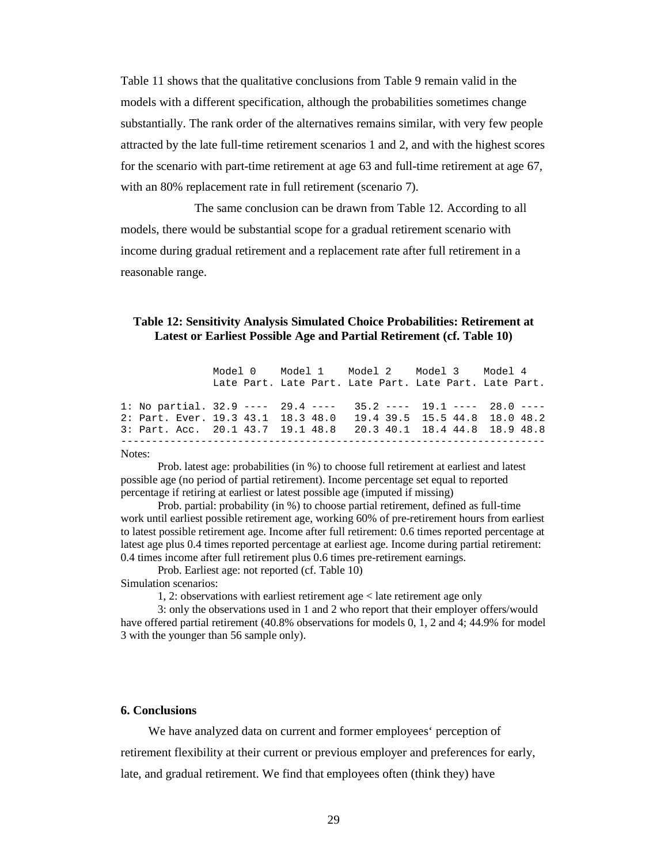Table 11 shows that the qualitative conclusions from Table 9 remain valid in the models with a different specification, although the probabilities sometimes change substantially. The rank order of the alternatives remains similar, with very few people attracted by the late full-time retirement scenarios 1 and 2, and with the highest scores for the scenario with part-time retirement at age 63 and full-time retirement at age 67, with an 80% replacement rate in full retirement (scenario 7).

The same conclusion can be drawn from Table 12. According to all models, there would be substantial scope for a gradual retirement scenario with income during gradual retirement and a replacement rate after full retirement in a reasonable range.

# **Table 12: Sensitivity Analysis Simulated Choice Probabilities: Retirement at Latest or Earliest Possible Age and Partial Retirement (cf. Table 10)**

|                                                                  |  | Model 0 Model 1 Model 2 Model 3 Model 4                |  |  |
|------------------------------------------------------------------|--|--------------------------------------------------------|--|--|
|                                                                  |  | Late Part. Late Part. Late Part. Late Part. Late Part. |  |  |
| 1: No partial. 32.9 ---- 29.4 ---- 35.2 ---- 19.1 ---- 28.0 ---- |  |                                                        |  |  |
| 2: Part. Ever. 19.3 43.1 18.3 48.0 19.4 39.5 15.5 44.8 18.0 48.2 |  |                                                        |  |  |
| 3: Part. Acc. 20.1 43.7 19.1 48.8 20.3 40.1 18.4 44.8 18.9 48.8  |  |                                                        |  |  |
|                                                                  |  |                                                        |  |  |

#### Notes:

Prob. latest age: probabilities (in %) to choose full retirement at earliest and latest possible age (no period of partial retirement). Income percentage set equal to reported percentage if retiring at earliest or latest possible age (imputed if missing)

Prob. partial: probability (in %) to choose partial retirement, defined as full-time work until earliest possible retirement age, working 60% of pre-retirement hours from earliest to latest possible retirement age. Income after full retirement: 0.6 times reported percentage at latest age plus 0.4 times reported percentage at earliest age. Income during partial retirement: 0.4 times income after full retirement plus 0.6 times pre-retirement earnings.

Prob. Earliest age: not reported (cf. Table 10)

Simulation scenarios:

1, 2: observations with earliest retirement age < late retirement age only

3: only the observations used in 1 and 2 who report that their employer offers/would have offered partial retirement (40.8% observations for models 0, 1, 2 and 4; 44.9% for model 3 with the younger than 56 sample only).

# **6. Conclusions**

We have analyzed data on current and former employees' perception of retirement flexibility at their current or previous employer and preferences for early, late, and gradual retirement. We find that employees often (think they) have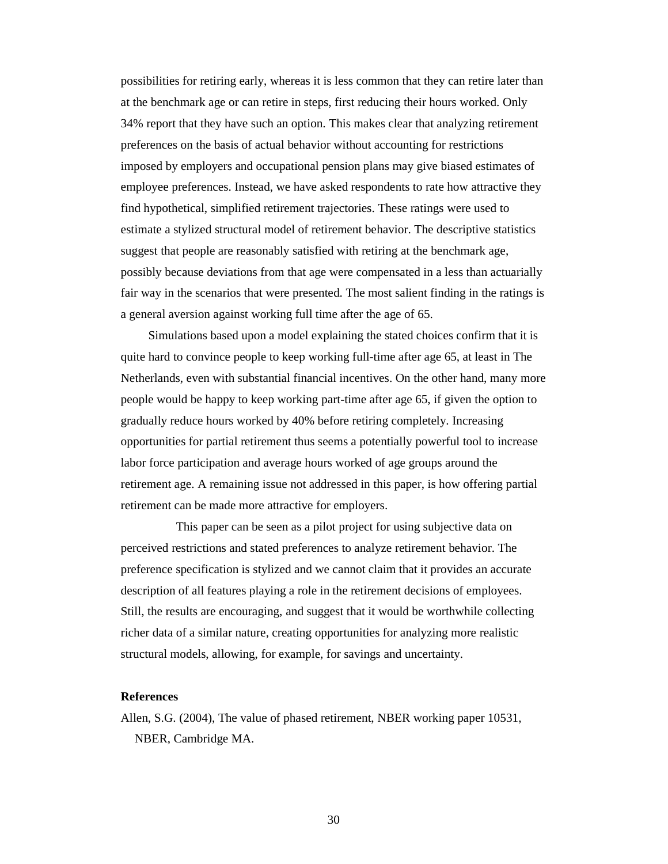possibilities for retiring early, whereas it is less common that they can retire later than at the benchmark age or can retire in steps, first reducing their hours worked. Only 34% report that they have such an option. This makes clear that analyzing retirement preferences on the basis of actual behavior without accounting for restrictions imposed by employers and occupational pension plans may give biased estimates of employee preferences. Instead, we have asked respondents to rate how attractive they find hypothetical, simplified retirement trajectories. These ratings were used to estimate a stylized structural model of retirement behavior. The descriptive statistics suggest that people are reasonably satisfied with retiring at the benchmark age, possibly because deviations from that age were compensated in a less than actuarially fair way in the scenarios that were presented. The most salient finding in the ratings is a general aversion against working full time after the age of 65.

Simulations based upon a model explaining the stated choices confirm that it is quite hard to convince people to keep working full-time after age 65, at least in The Netherlands, even with substantial financial incentives. On the other hand, many more people would be happy to keep working part-time after age 65, if given the option to gradually reduce hours worked by 40% before retiring completely. Increasing opportunities for partial retirement thus seems a potentially powerful tool to increase labor force participation and average hours worked of age groups around the retirement age. A remaining issue not addressed in this paper, is how offering partial retirement can be made more attractive for employers.

This paper can be seen as a pilot project for using subjective data on perceived restrictions and stated preferences to analyze retirement behavior. The preference specification is stylized and we cannot claim that it provides an accurate description of all features playing a role in the retirement decisions of employees. Still, the results are encouraging, and suggest that it would be worthwhile collecting richer data of a similar nature, creating opportunities for analyzing more realistic structural models, allowing, for example, for savings and uncertainty.

#### **References**

Allen, S.G. (2004), The value of phased retirement, NBER working paper 10531, NBER, Cambridge MA.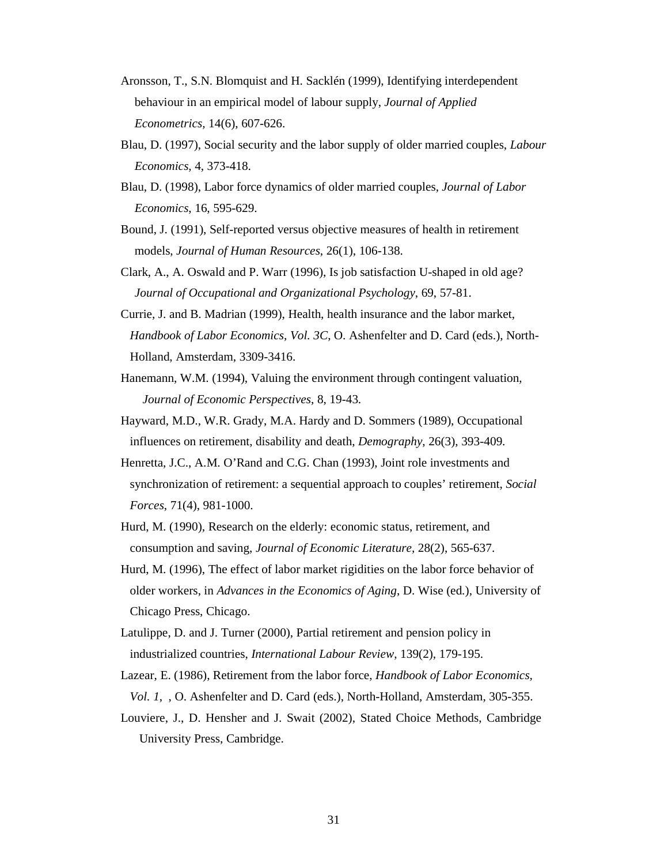- Aronsson, T., S.N. Blomquist and H. Sacklén (1999), Identifying interdependent behaviour in an empirical model of labour supply, *Journal of Applied Econometrics,* 14(6), 607-626.
- Blau, D. (1997), Social security and the labor supply of older married couples, *Labour Economics,* 4, 373-418.
- Blau, D. (1998), Labor force dynamics of older married couples, *Journal of Labor Economics*, 16, 595-629.
- Bound, J. (1991), Self-reported versus objective measures of health in retirement models, *Journal of Human Resources*, 26(1), 106-138.
- Clark, A., A. Oswald and P. Warr (1996), Is job satisfaction U-shaped in old age? *Journal of Occupational and Organizational Psychology*, 69, 57-81.
- Currie, J. and B. Madrian (1999), Health, health insurance and the labor market, *Handbook of Labor Economics, Vol. 3C*, O. Ashenfelter and D. Card (eds.), North-Holland, Amsterdam, 3309-3416.
- Hanemann, W.M. (1994), Valuing the environment through contingent valuation, *Journal of Economic Perspectives*, 8, 19-43.
- Hayward, M.D., W.R. Grady, M.A. Hardy and D. Sommers (1989), Occupational influences on retirement, disability and death, *Demography*, 26(3), 393-409.
- Henretta, J.C., A.M. O'Rand and C.G. Chan (1993), Joint role investments and synchronization of retirement: a sequential approach to couples' retirement, *Social Forces*, 71(4), 981-1000.
- Hurd, M. (1990), Research on the elderly: economic status, retirement, and consumption and saving, *Journal of Economic Literature,* 28(2), 565-637.
- Hurd, M. (1996), The effect of labor market rigidities on the labor force behavior of older workers, in *Advances in the Economics of Aging*, D. Wise (ed.), University of Chicago Press, Chicago.
- Latulippe, D. and J. Turner (2000), Partial retirement and pension policy in industrialized countries, *International Labour Review*, 139(2), 179-195.
- Lazear, E. (1986), Retirement from the labor force, *Handbook of Labor Economics, Vol. 1*, , O. Ashenfelter and D. Card (eds.), North-Holland, Amsterdam, 305-355.
- Louviere, J., D. Hensher and J. Swait (2002), Stated Choice Methods, Cambridge University Press, Cambridge.